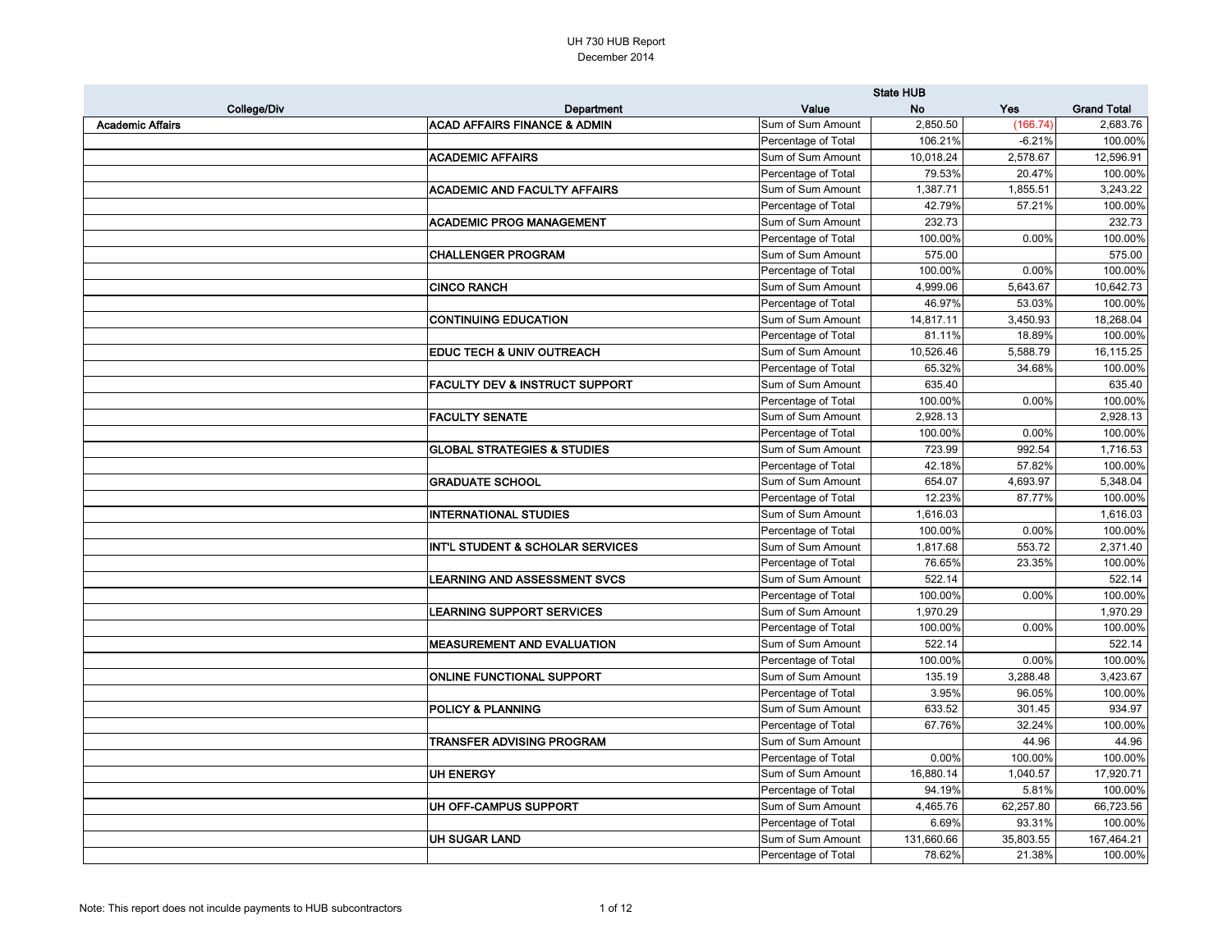| <b>Grand Total</b><br>College/Div<br>Value<br><b>No</b><br>Yes<br>Department<br><b>ACAD AFFAIRS FINANCE &amp; ADMIN</b><br>2,850.50<br><b>Academic Affairs</b><br>Sum of Sum Amount<br>(166.74)<br>2,683.76<br>Percentage of Total<br>106.21%<br>$-6.21%$<br>Sum of Sum Amount<br><b>ACADEMIC AFFAIRS</b><br>10,018.24<br>2,578.67<br>Percentage of Total<br>79.53%<br>20.47%<br><b>ACADEMIC AND FACULTY AFFAIRS</b><br>Sum of Sum Amount<br>1,387.71<br>1,855.51<br>Percentage of Total<br>42.79%<br>57.21%<br>Sum of Sum Amount<br><b>ACADEMIC PROG MANAGEMENT</b><br>232.73<br>Percentage of Total<br>100.00%<br>0.00%<br><b>CHALLENGER PROGRAM</b><br>Sum of Sum Amount<br>575.00<br>Percentage of Total<br>100.00%<br>0.00%<br><b>CINCO RANCH</b><br>4,999.06<br>10,642.73<br>Sum of Sum Amount<br>5,643.67<br>Percentage of Total<br>46.97%<br>53.03%<br><b>CONTINUING EDUCATION</b><br>Sum of Sum Amount<br>14,817.11<br>3,450.93<br>18,268.04<br>Percentage of Total<br>18.89%<br>81.11%<br><b>EDUC TECH &amp; UNIV OUTREACH</b><br>Sum of Sum Amount<br>10,526.46<br>5,588.79<br>16,115.25<br>Percentage of Total<br>65.32%<br>34.68%<br><b>FACULTY DEV &amp; INSTRUCT SUPPORT</b><br>Sum of Sum Amount<br>635.40<br>Percentage of Total<br>100.00%<br>0.00%<br><b>FACULTY SENATE</b><br>Sum of Sum Amount<br>2,928.13<br>0.00%<br>100.00%<br>Percentage of Total<br><b>GLOBAL STRATEGIES &amp; STUDIES</b><br>Sum of Sum Amount<br>723.99<br>992.54<br>Percentage of Total<br>57.82%<br>42.18%<br><b>GRADUATE SCHOOL</b><br>Sum of Sum Amount<br>5,348.04<br>654.07<br>4,693.97<br>Percentage of Total<br>12.23%<br>87.77%<br><b>INTERNATIONAL STUDIES</b><br>Sum of Sum Amount<br>1,616.03<br>0.00%<br>Percentage of Total<br>100.00%<br><b>INT'L STUDENT &amp; SCHOLAR SERVICES</b><br>Sum of Sum Amount<br>1,817.68<br>553.72<br>Percentage of Total<br>76.65%<br>23.35%<br><b>LEARNING AND ASSESSMENT SVCS</b><br>Sum of Sum Amount<br>522.14<br>522.14<br>100.00%<br>0.00%<br>Percentage of Total<br><b>LEARNING SUPPORT SERVICES</b><br>Sum of Sum Amount<br>1,970.29<br>Percentage of Total<br>100.00%<br>0.00%<br>Sum of Sum Amount<br>522.14<br><b>IMEASUREMENT AND EVALUATION</b><br>Percentage of Total<br>100.00%<br>0.00%<br>Sum of Sum Amount<br>3,288.48<br><b>ONLINE FUNCTIONAL SUPPORT</b><br>135.19<br>Percentage of Total<br>3.95%<br>96.05%<br>Sum of Sum Amount<br><b>POLICY &amp; PLANNING</b><br>633.52<br>301.45<br>Percentage of Total<br>67.76%<br>32.24%<br>Sum of Sum Amount<br><b>TRANSFER ADVISING PROGRAM</b><br>44.96<br>Percentage of Total<br>0.00%<br>100.00%<br>Sum of Sum Amount<br>UH ENERGY<br>16,880.14<br>1,040.57<br>Percentage of Total<br>94.19%<br>5.81%<br>Sum of Sum Amount<br>UH OFF-CAMPUS SUPPORT<br>4,465.76<br>62,257.80<br>Percentage of Total<br>6.69%<br>93.31%<br>Sum of Sum Amount<br>UH SUGAR LAND<br>131,660.66<br>35,803.55<br>Percentage of Total<br>78.62%<br>21.38% |  | <b>State HUB</b> |  |            |  |
|----------------------------------------------------------------------------------------------------------------------------------------------------------------------------------------------------------------------------------------------------------------------------------------------------------------------------------------------------------------------------------------------------------------------------------------------------------------------------------------------------------------------------------------------------------------------------------------------------------------------------------------------------------------------------------------------------------------------------------------------------------------------------------------------------------------------------------------------------------------------------------------------------------------------------------------------------------------------------------------------------------------------------------------------------------------------------------------------------------------------------------------------------------------------------------------------------------------------------------------------------------------------------------------------------------------------------------------------------------------------------------------------------------------------------------------------------------------------------------------------------------------------------------------------------------------------------------------------------------------------------------------------------------------------------------------------------------------------------------------------------------------------------------------------------------------------------------------------------------------------------------------------------------------------------------------------------------------------------------------------------------------------------------------------------------------------------------------------------------------------------------------------------------------------------------------------------------------------------------------------------------------------------------------------------------------------------------------------------------------------------------------------------------------------------------------------------------------------------------------------------------------------------------------------------------------------------------------------------------------------------------------------------------------------------------------------------------------------------------------------------------------------------------------------------------------------------------------------------------------------------------------------------------------------------------------------|--|------------------|--|------------|--|
|                                                                                                                                                                                                                                                                                                                                                                                                                                                                                                                                                                                                                                                                                                                                                                                                                                                                                                                                                                                                                                                                                                                                                                                                                                                                                                                                                                                                                                                                                                                                                                                                                                                                                                                                                                                                                                                                                                                                                                                                                                                                                                                                                                                                                                                                                                                                                                                                                                                                                                                                                                                                                                                                                                                                                                                                                                                                                                                                              |  |                  |  |            |  |
|                                                                                                                                                                                                                                                                                                                                                                                                                                                                                                                                                                                                                                                                                                                                                                                                                                                                                                                                                                                                                                                                                                                                                                                                                                                                                                                                                                                                                                                                                                                                                                                                                                                                                                                                                                                                                                                                                                                                                                                                                                                                                                                                                                                                                                                                                                                                                                                                                                                                                                                                                                                                                                                                                                                                                                                                                                                                                                                                              |  |                  |  |            |  |
|                                                                                                                                                                                                                                                                                                                                                                                                                                                                                                                                                                                                                                                                                                                                                                                                                                                                                                                                                                                                                                                                                                                                                                                                                                                                                                                                                                                                                                                                                                                                                                                                                                                                                                                                                                                                                                                                                                                                                                                                                                                                                                                                                                                                                                                                                                                                                                                                                                                                                                                                                                                                                                                                                                                                                                                                                                                                                                                                              |  |                  |  | 100.00%    |  |
|                                                                                                                                                                                                                                                                                                                                                                                                                                                                                                                                                                                                                                                                                                                                                                                                                                                                                                                                                                                                                                                                                                                                                                                                                                                                                                                                                                                                                                                                                                                                                                                                                                                                                                                                                                                                                                                                                                                                                                                                                                                                                                                                                                                                                                                                                                                                                                                                                                                                                                                                                                                                                                                                                                                                                                                                                                                                                                                                              |  |                  |  | 12,596.91  |  |
|                                                                                                                                                                                                                                                                                                                                                                                                                                                                                                                                                                                                                                                                                                                                                                                                                                                                                                                                                                                                                                                                                                                                                                                                                                                                                                                                                                                                                                                                                                                                                                                                                                                                                                                                                                                                                                                                                                                                                                                                                                                                                                                                                                                                                                                                                                                                                                                                                                                                                                                                                                                                                                                                                                                                                                                                                                                                                                                                              |  |                  |  | 100.00%    |  |
|                                                                                                                                                                                                                                                                                                                                                                                                                                                                                                                                                                                                                                                                                                                                                                                                                                                                                                                                                                                                                                                                                                                                                                                                                                                                                                                                                                                                                                                                                                                                                                                                                                                                                                                                                                                                                                                                                                                                                                                                                                                                                                                                                                                                                                                                                                                                                                                                                                                                                                                                                                                                                                                                                                                                                                                                                                                                                                                                              |  |                  |  | 3,243.22   |  |
|                                                                                                                                                                                                                                                                                                                                                                                                                                                                                                                                                                                                                                                                                                                                                                                                                                                                                                                                                                                                                                                                                                                                                                                                                                                                                                                                                                                                                                                                                                                                                                                                                                                                                                                                                                                                                                                                                                                                                                                                                                                                                                                                                                                                                                                                                                                                                                                                                                                                                                                                                                                                                                                                                                                                                                                                                                                                                                                                              |  |                  |  | 100.00%    |  |
|                                                                                                                                                                                                                                                                                                                                                                                                                                                                                                                                                                                                                                                                                                                                                                                                                                                                                                                                                                                                                                                                                                                                                                                                                                                                                                                                                                                                                                                                                                                                                                                                                                                                                                                                                                                                                                                                                                                                                                                                                                                                                                                                                                                                                                                                                                                                                                                                                                                                                                                                                                                                                                                                                                                                                                                                                                                                                                                                              |  |                  |  | 232.73     |  |
|                                                                                                                                                                                                                                                                                                                                                                                                                                                                                                                                                                                                                                                                                                                                                                                                                                                                                                                                                                                                                                                                                                                                                                                                                                                                                                                                                                                                                                                                                                                                                                                                                                                                                                                                                                                                                                                                                                                                                                                                                                                                                                                                                                                                                                                                                                                                                                                                                                                                                                                                                                                                                                                                                                                                                                                                                                                                                                                                              |  |                  |  | 100.00%    |  |
|                                                                                                                                                                                                                                                                                                                                                                                                                                                                                                                                                                                                                                                                                                                                                                                                                                                                                                                                                                                                                                                                                                                                                                                                                                                                                                                                                                                                                                                                                                                                                                                                                                                                                                                                                                                                                                                                                                                                                                                                                                                                                                                                                                                                                                                                                                                                                                                                                                                                                                                                                                                                                                                                                                                                                                                                                                                                                                                                              |  |                  |  | 575.00     |  |
|                                                                                                                                                                                                                                                                                                                                                                                                                                                                                                                                                                                                                                                                                                                                                                                                                                                                                                                                                                                                                                                                                                                                                                                                                                                                                                                                                                                                                                                                                                                                                                                                                                                                                                                                                                                                                                                                                                                                                                                                                                                                                                                                                                                                                                                                                                                                                                                                                                                                                                                                                                                                                                                                                                                                                                                                                                                                                                                                              |  |                  |  | 100.00%    |  |
|                                                                                                                                                                                                                                                                                                                                                                                                                                                                                                                                                                                                                                                                                                                                                                                                                                                                                                                                                                                                                                                                                                                                                                                                                                                                                                                                                                                                                                                                                                                                                                                                                                                                                                                                                                                                                                                                                                                                                                                                                                                                                                                                                                                                                                                                                                                                                                                                                                                                                                                                                                                                                                                                                                                                                                                                                                                                                                                                              |  |                  |  |            |  |
|                                                                                                                                                                                                                                                                                                                                                                                                                                                                                                                                                                                                                                                                                                                                                                                                                                                                                                                                                                                                                                                                                                                                                                                                                                                                                                                                                                                                                                                                                                                                                                                                                                                                                                                                                                                                                                                                                                                                                                                                                                                                                                                                                                                                                                                                                                                                                                                                                                                                                                                                                                                                                                                                                                                                                                                                                                                                                                                                              |  |                  |  | 100.00%    |  |
|                                                                                                                                                                                                                                                                                                                                                                                                                                                                                                                                                                                                                                                                                                                                                                                                                                                                                                                                                                                                                                                                                                                                                                                                                                                                                                                                                                                                                                                                                                                                                                                                                                                                                                                                                                                                                                                                                                                                                                                                                                                                                                                                                                                                                                                                                                                                                                                                                                                                                                                                                                                                                                                                                                                                                                                                                                                                                                                                              |  |                  |  |            |  |
|                                                                                                                                                                                                                                                                                                                                                                                                                                                                                                                                                                                                                                                                                                                                                                                                                                                                                                                                                                                                                                                                                                                                                                                                                                                                                                                                                                                                                                                                                                                                                                                                                                                                                                                                                                                                                                                                                                                                                                                                                                                                                                                                                                                                                                                                                                                                                                                                                                                                                                                                                                                                                                                                                                                                                                                                                                                                                                                                              |  |                  |  | 100.00%    |  |
|                                                                                                                                                                                                                                                                                                                                                                                                                                                                                                                                                                                                                                                                                                                                                                                                                                                                                                                                                                                                                                                                                                                                                                                                                                                                                                                                                                                                                                                                                                                                                                                                                                                                                                                                                                                                                                                                                                                                                                                                                                                                                                                                                                                                                                                                                                                                                                                                                                                                                                                                                                                                                                                                                                                                                                                                                                                                                                                                              |  |                  |  |            |  |
|                                                                                                                                                                                                                                                                                                                                                                                                                                                                                                                                                                                                                                                                                                                                                                                                                                                                                                                                                                                                                                                                                                                                                                                                                                                                                                                                                                                                                                                                                                                                                                                                                                                                                                                                                                                                                                                                                                                                                                                                                                                                                                                                                                                                                                                                                                                                                                                                                                                                                                                                                                                                                                                                                                                                                                                                                                                                                                                                              |  |                  |  | 100.00%    |  |
|                                                                                                                                                                                                                                                                                                                                                                                                                                                                                                                                                                                                                                                                                                                                                                                                                                                                                                                                                                                                                                                                                                                                                                                                                                                                                                                                                                                                                                                                                                                                                                                                                                                                                                                                                                                                                                                                                                                                                                                                                                                                                                                                                                                                                                                                                                                                                                                                                                                                                                                                                                                                                                                                                                                                                                                                                                                                                                                                              |  |                  |  | 635.40     |  |
|                                                                                                                                                                                                                                                                                                                                                                                                                                                                                                                                                                                                                                                                                                                                                                                                                                                                                                                                                                                                                                                                                                                                                                                                                                                                                                                                                                                                                                                                                                                                                                                                                                                                                                                                                                                                                                                                                                                                                                                                                                                                                                                                                                                                                                                                                                                                                                                                                                                                                                                                                                                                                                                                                                                                                                                                                                                                                                                                              |  |                  |  | 100.00%    |  |
|                                                                                                                                                                                                                                                                                                                                                                                                                                                                                                                                                                                                                                                                                                                                                                                                                                                                                                                                                                                                                                                                                                                                                                                                                                                                                                                                                                                                                                                                                                                                                                                                                                                                                                                                                                                                                                                                                                                                                                                                                                                                                                                                                                                                                                                                                                                                                                                                                                                                                                                                                                                                                                                                                                                                                                                                                                                                                                                                              |  |                  |  | 2,928.13   |  |
|                                                                                                                                                                                                                                                                                                                                                                                                                                                                                                                                                                                                                                                                                                                                                                                                                                                                                                                                                                                                                                                                                                                                                                                                                                                                                                                                                                                                                                                                                                                                                                                                                                                                                                                                                                                                                                                                                                                                                                                                                                                                                                                                                                                                                                                                                                                                                                                                                                                                                                                                                                                                                                                                                                                                                                                                                                                                                                                                              |  |                  |  | 100.00%    |  |
|                                                                                                                                                                                                                                                                                                                                                                                                                                                                                                                                                                                                                                                                                                                                                                                                                                                                                                                                                                                                                                                                                                                                                                                                                                                                                                                                                                                                                                                                                                                                                                                                                                                                                                                                                                                                                                                                                                                                                                                                                                                                                                                                                                                                                                                                                                                                                                                                                                                                                                                                                                                                                                                                                                                                                                                                                                                                                                                                              |  |                  |  | 1,716.53   |  |
|                                                                                                                                                                                                                                                                                                                                                                                                                                                                                                                                                                                                                                                                                                                                                                                                                                                                                                                                                                                                                                                                                                                                                                                                                                                                                                                                                                                                                                                                                                                                                                                                                                                                                                                                                                                                                                                                                                                                                                                                                                                                                                                                                                                                                                                                                                                                                                                                                                                                                                                                                                                                                                                                                                                                                                                                                                                                                                                                              |  |                  |  | 100.00%    |  |
|                                                                                                                                                                                                                                                                                                                                                                                                                                                                                                                                                                                                                                                                                                                                                                                                                                                                                                                                                                                                                                                                                                                                                                                                                                                                                                                                                                                                                                                                                                                                                                                                                                                                                                                                                                                                                                                                                                                                                                                                                                                                                                                                                                                                                                                                                                                                                                                                                                                                                                                                                                                                                                                                                                                                                                                                                                                                                                                                              |  |                  |  |            |  |
|                                                                                                                                                                                                                                                                                                                                                                                                                                                                                                                                                                                                                                                                                                                                                                                                                                                                                                                                                                                                                                                                                                                                                                                                                                                                                                                                                                                                                                                                                                                                                                                                                                                                                                                                                                                                                                                                                                                                                                                                                                                                                                                                                                                                                                                                                                                                                                                                                                                                                                                                                                                                                                                                                                                                                                                                                                                                                                                                              |  |                  |  | 100.00%    |  |
|                                                                                                                                                                                                                                                                                                                                                                                                                                                                                                                                                                                                                                                                                                                                                                                                                                                                                                                                                                                                                                                                                                                                                                                                                                                                                                                                                                                                                                                                                                                                                                                                                                                                                                                                                                                                                                                                                                                                                                                                                                                                                                                                                                                                                                                                                                                                                                                                                                                                                                                                                                                                                                                                                                                                                                                                                                                                                                                                              |  |                  |  | 1,616.03   |  |
|                                                                                                                                                                                                                                                                                                                                                                                                                                                                                                                                                                                                                                                                                                                                                                                                                                                                                                                                                                                                                                                                                                                                                                                                                                                                                                                                                                                                                                                                                                                                                                                                                                                                                                                                                                                                                                                                                                                                                                                                                                                                                                                                                                                                                                                                                                                                                                                                                                                                                                                                                                                                                                                                                                                                                                                                                                                                                                                                              |  |                  |  | 100.00%    |  |
|                                                                                                                                                                                                                                                                                                                                                                                                                                                                                                                                                                                                                                                                                                                                                                                                                                                                                                                                                                                                                                                                                                                                                                                                                                                                                                                                                                                                                                                                                                                                                                                                                                                                                                                                                                                                                                                                                                                                                                                                                                                                                                                                                                                                                                                                                                                                                                                                                                                                                                                                                                                                                                                                                                                                                                                                                                                                                                                                              |  |                  |  | 2,371.40   |  |
|                                                                                                                                                                                                                                                                                                                                                                                                                                                                                                                                                                                                                                                                                                                                                                                                                                                                                                                                                                                                                                                                                                                                                                                                                                                                                                                                                                                                                                                                                                                                                                                                                                                                                                                                                                                                                                                                                                                                                                                                                                                                                                                                                                                                                                                                                                                                                                                                                                                                                                                                                                                                                                                                                                                                                                                                                                                                                                                                              |  |                  |  | 100.00%    |  |
|                                                                                                                                                                                                                                                                                                                                                                                                                                                                                                                                                                                                                                                                                                                                                                                                                                                                                                                                                                                                                                                                                                                                                                                                                                                                                                                                                                                                                                                                                                                                                                                                                                                                                                                                                                                                                                                                                                                                                                                                                                                                                                                                                                                                                                                                                                                                                                                                                                                                                                                                                                                                                                                                                                                                                                                                                                                                                                                                              |  |                  |  |            |  |
|                                                                                                                                                                                                                                                                                                                                                                                                                                                                                                                                                                                                                                                                                                                                                                                                                                                                                                                                                                                                                                                                                                                                                                                                                                                                                                                                                                                                                                                                                                                                                                                                                                                                                                                                                                                                                                                                                                                                                                                                                                                                                                                                                                                                                                                                                                                                                                                                                                                                                                                                                                                                                                                                                                                                                                                                                                                                                                                                              |  |                  |  | 100.00%    |  |
|                                                                                                                                                                                                                                                                                                                                                                                                                                                                                                                                                                                                                                                                                                                                                                                                                                                                                                                                                                                                                                                                                                                                                                                                                                                                                                                                                                                                                                                                                                                                                                                                                                                                                                                                                                                                                                                                                                                                                                                                                                                                                                                                                                                                                                                                                                                                                                                                                                                                                                                                                                                                                                                                                                                                                                                                                                                                                                                                              |  |                  |  | 1,970.29   |  |
|                                                                                                                                                                                                                                                                                                                                                                                                                                                                                                                                                                                                                                                                                                                                                                                                                                                                                                                                                                                                                                                                                                                                                                                                                                                                                                                                                                                                                                                                                                                                                                                                                                                                                                                                                                                                                                                                                                                                                                                                                                                                                                                                                                                                                                                                                                                                                                                                                                                                                                                                                                                                                                                                                                                                                                                                                                                                                                                                              |  |                  |  | 100.00%    |  |
|                                                                                                                                                                                                                                                                                                                                                                                                                                                                                                                                                                                                                                                                                                                                                                                                                                                                                                                                                                                                                                                                                                                                                                                                                                                                                                                                                                                                                                                                                                                                                                                                                                                                                                                                                                                                                                                                                                                                                                                                                                                                                                                                                                                                                                                                                                                                                                                                                                                                                                                                                                                                                                                                                                                                                                                                                                                                                                                                              |  |                  |  | 522.14     |  |
|                                                                                                                                                                                                                                                                                                                                                                                                                                                                                                                                                                                                                                                                                                                                                                                                                                                                                                                                                                                                                                                                                                                                                                                                                                                                                                                                                                                                                                                                                                                                                                                                                                                                                                                                                                                                                                                                                                                                                                                                                                                                                                                                                                                                                                                                                                                                                                                                                                                                                                                                                                                                                                                                                                                                                                                                                                                                                                                                              |  |                  |  | 100.00%    |  |
|                                                                                                                                                                                                                                                                                                                                                                                                                                                                                                                                                                                                                                                                                                                                                                                                                                                                                                                                                                                                                                                                                                                                                                                                                                                                                                                                                                                                                                                                                                                                                                                                                                                                                                                                                                                                                                                                                                                                                                                                                                                                                                                                                                                                                                                                                                                                                                                                                                                                                                                                                                                                                                                                                                                                                                                                                                                                                                                                              |  |                  |  | 3,423.67   |  |
|                                                                                                                                                                                                                                                                                                                                                                                                                                                                                                                                                                                                                                                                                                                                                                                                                                                                                                                                                                                                                                                                                                                                                                                                                                                                                                                                                                                                                                                                                                                                                                                                                                                                                                                                                                                                                                                                                                                                                                                                                                                                                                                                                                                                                                                                                                                                                                                                                                                                                                                                                                                                                                                                                                                                                                                                                                                                                                                                              |  |                  |  | 100.00%    |  |
|                                                                                                                                                                                                                                                                                                                                                                                                                                                                                                                                                                                                                                                                                                                                                                                                                                                                                                                                                                                                                                                                                                                                                                                                                                                                                                                                                                                                                                                                                                                                                                                                                                                                                                                                                                                                                                                                                                                                                                                                                                                                                                                                                                                                                                                                                                                                                                                                                                                                                                                                                                                                                                                                                                                                                                                                                                                                                                                                              |  |                  |  | 934.97     |  |
|                                                                                                                                                                                                                                                                                                                                                                                                                                                                                                                                                                                                                                                                                                                                                                                                                                                                                                                                                                                                                                                                                                                                                                                                                                                                                                                                                                                                                                                                                                                                                                                                                                                                                                                                                                                                                                                                                                                                                                                                                                                                                                                                                                                                                                                                                                                                                                                                                                                                                                                                                                                                                                                                                                                                                                                                                                                                                                                                              |  |                  |  | 100.00%    |  |
|                                                                                                                                                                                                                                                                                                                                                                                                                                                                                                                                                                                                                                                                                                                                                                                                                                                                                                                                                                                                                                                                                                                                                                                                                                                                                                                                                                                                                                                                                                                                                                                                                                                                                                                                                                                                                                                                                                                                                                                                                                                                                                                                                                                                                                                                                                                                                                                                                                                                                                                                                                                                                                                                                                                                                                                                                                                                                                                                              |  |                  |  | 44.96      |  |
|                                                                                                                                                                                                                                                                                                                                                                                                                                                                                                                                                                                                                                                                                                                                                                                                                                                                                                                                                                                                                                                                                                                                                                                                                                                                                                                                                                                                                                                                                                                                                                                                                                                                                                                                                                                                                                                                                                                                                                                                                                                                                                                                                                                                                                                                                                                                                                                                                                                                                                                                                                                                                                                                                                                                                                                                                                                                                                                                              |  |                  |  | 100.00%    |  |
|                                                                                                                                                                                                                                                                                                                                                                                                                                                                                                                                                                                                                                                                                                                                                                                                                                                                                                                                                                                                                                                                                                                                                                                                                                                                                                                                                                                                                                                                                                                                                                                                                                                                                                                                                                                                                                                                                                                                                                                                                                                                                                                                                                                                                                                                                                                                                                                                                                                                                                                                                                                                                                                                                                                                                                                                                                                                                                                                              |  |                  |  | 17,920.71  |  |
|                                                                                                                                                                                                                                                                                                                                                                                                                                                                                                                                                                                                                                                                                                                                                                                                                                                                                                                                                                                                                                                                                                                                                                                                                                                                                                                                                                                                                                                                                                                                                                                                                                                                                                                                                                                                                                                                                                                                                                                                                                                                                                                                                                                                                                                                                                                                                                                                                                                                                                                                                                                                                                                                                                                                                                                                                                                                                                                                              |  |                  |  | 100.00%    |  |
|                                                                                                                                                                                                                                                                                                                                                                                                                                                                                                                                                                                                                                                                                                                                                                                                                                                                                                                                                                                                                                                                                                                                                                                                                                                                                                                                                                                                                                                                                                                                                                                                                                                                                                                                                                                                                                                                                                                                                                                                                                                                                                                                                                                                                                                                                                                                                                                                                                                                                                                                                                                                                                                                                                                                                                                                                                                                                                                                              |  |                  |  | 66,723.56  |  |
|                                                                                                                                                                                                                                                                                                                                                                                                                                                                                                                                                                                                                                                                                                                                                                                                                                                                                                                                                                                                                                                                                                                                                                                                                                                                                                                                                                                                                                                                                                                                                                                                                                                                                                                                                                                                                                                                                                                                                                                                                                                                                                                                                                                                                                                                                                                                                                                                                                                                                                                                                                                                                                                                                                                                                                                                                                                                                                                                              |  |                  |  | 100.00%    |  |
|                                                                                                                                                                                                                                                                                                                                                                                                                                                                                                                                                                                                                                                                                                                                                                                                                                                                                                                                                                                                                                                                                                                                                                                                                                                                                                                                                                                                                                                                                                                                                                                                                                                                                                                                                                                                                                                                                                                                                                                                                                                                                                                                                                                                                                                                                                                                                                                                                                                                                                                                                                                                                                                                                                                                                                                                                                                                                                                                              |  |                  |  | 167,464.21 |  |
|                                                                                                                                                                                                                                                                                                                                                                                                                                                                                                                                                                                                                                                                                                                                                                                                                                                                                                                                                                                                                                                                                                                                                                                                                                                                                                                                                                                                                                                                                                                                                                                                                                                                                                                                                                                                                                                                                                                                                                                                                                                                                                                                                                                                                                                                                                                                                                                                                                                                                                                                                                                                                                                                                                                                                                                                                                                                                                                                              |  |                  |  | 100.00%    |  |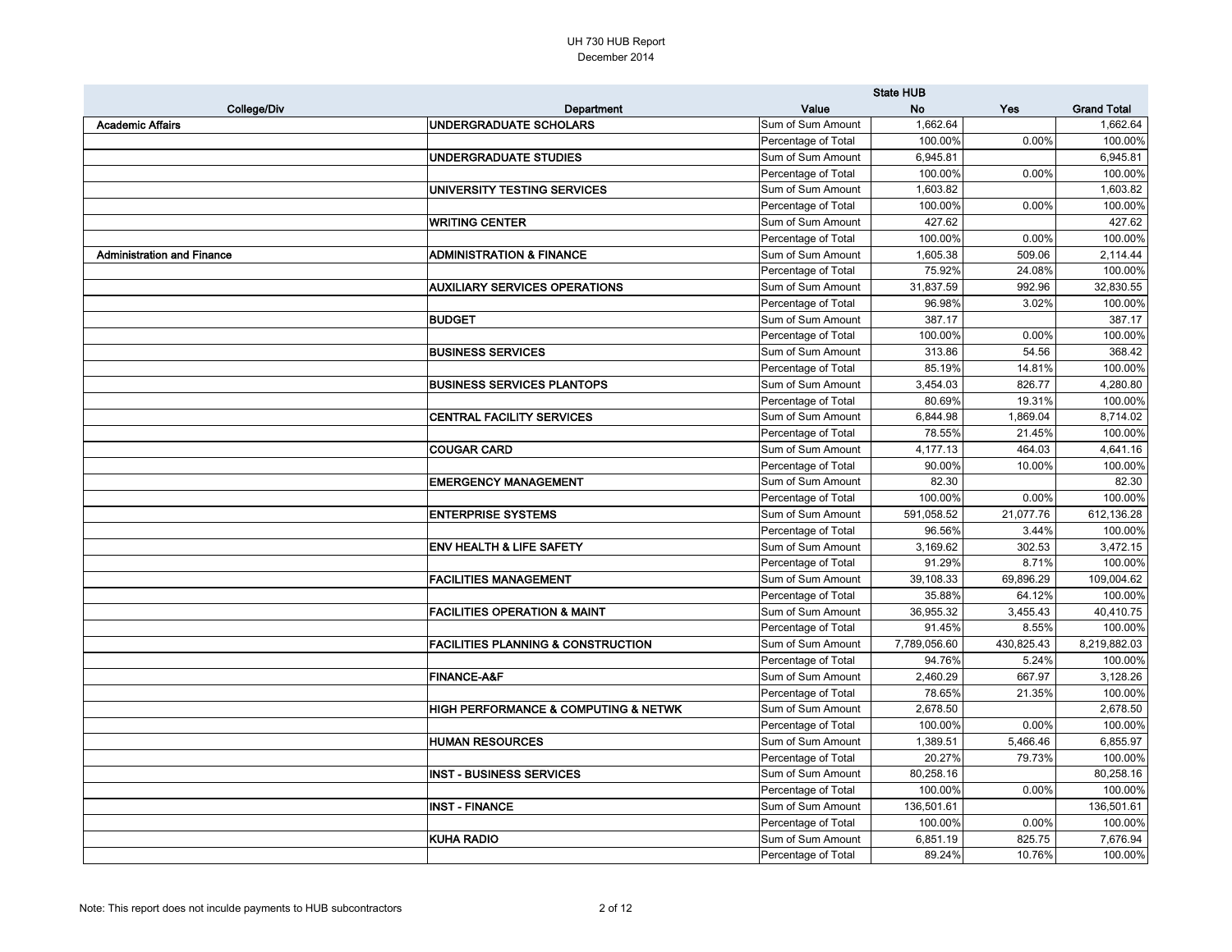|                                   |                                                     | <b>State HUB</b>    |              |            |                    |
|-----------------------------------|-----------------------------------------------------|---------------------|--------------|------------|--------------------|
| <b>College/Div</b>                | Department                                          | Value               | <b>No</b>    | Yes        | <b>Grand Total</b> |
| <b>Academic Affairs</b>           | <b>UNDERGRADUATE SCHOLARS</b>                       | Sum of Sum Amount   | 1,662.64     |            | 1,662.64           |
|                                   |                                                     | Percentage of Total | 100.00%      | 0.00%      | 100.00%            |
|                                   | <b>UNDERGRADUATE STUDIES</b>                        | Sum of Sum Amount   | 6,945.81     |            | 6,945.81           |
|                                   |                                                     | Percentage of Total | 100.00%      | 0.00%      | 100.00%            |
|                                   | UNIVERSITY TESTING SERVICES                         | Sum of Sum Amount   | 1,603.82     |            | 1,603.82           |
|                                   |                                                     | Percentage of Total | 100.00%      | 0.00%      | 100.00%            |
|                                   | <b>WRITING CENTER</b>                               | Sum of Sum Amount   | 427.62       |            | 427.62             |
|                                   |                                                     | Percentage of Total | 100.00%      | 0.00%      | 100.00%            |
| <b>Administration and Finance</b> | <b>ADMINISTRATION &amp; FINANCE</b>                 | Sum of Sum Amount   | 1,605.38     | 509.06     | 2,114.44           |
|                                   |                                                     | Percentage of Total | 75.92%       | 24.08%     | 100.00%            |
|                                   | <b>AUXILIARY SERVICES OPERATIONS</b>                | Sum of Sum Amount   | 31,837.59    | 992.96     | 32,830.55          |
|                                   |                                                     | Percentage of Total | 96.98%       | 3.02%      | 100.00%            |
|                                   | <b>BUDGET</b>                                       | Sum of Sum Amount   | 387.17       |            | 387.17             |
|                                   |                                                     | Percentage of Total | 100.00%      | 0.00%      | 100.00%            |
|                                   | <b>BUSINESS SERVICES</b>                            | Sum of Sum Amount   | 313.86       | 54.56      | 368.42             |
|                                   |                                                     | Percentage of Total | 85.19%       | 14.81%     | 100.00%            |
|                                   | <b>BUSINESS SERVICES PLANTOPS</b>                   | Sum of Sum Amount   | 3,454.03     | 826.77     | 4,280.80           |
|                                   |                                                     | Percentage of Total | 80.69%       | 19.31%     | 100.00%            |
|                                   | <b>CENTRAL FACILITY SERVICES</b>                    | Sum of Sum Amount   | 6,844.98     | 1,869.04   | 8,714.02           |
|                                   |                                                     | Percentage of Total | 78.55%       | 21.45%     | 100.00%            |
|                                   | <b>COUGAR CARD</b>                                  | Sum of Sum Amount   | 4,177.13     | 464.03     | 4,641.16           |
|                                   |                                                     | Percentage of Total | 90.00%       | 10.00%     | 100.00%            |
|                                   | <b>EMERGENCY MANAGEMENT</b>                         | Sum of Sum Amount   | 82.30        |            | 82.30              |
|                                   |                                                     | Percentage of Total | 100.00%      | 0.00%      | 100.00%            |
|                                   | <b>ENTERPRISE SYSTEMS</b>                           | Sum of Sum Amount   | 591,058.52   | 21,077.76  | 612,136.28         |
|                                   |                                                     | Percentage of Total | 96.56%       | 3.44%      | 100.00%            |
|                                   | <b>ENV HEALTH &amp; LIFE SAFETY</b>                 | Sum of Sum Amount   | 3,169.62     | 302.53     | 3,472.15           |
|                                   |                                                     | Percentage of Total | 91.29%       | 8.71%      | 100.00%            |
|                                   | <b>FACILITIES MANAGEMENT</b>                        | Sum of Sum Amount   | 39,108.33    | 69,896.29  | 109,004.62         |
|                                   |                                                     | Percentage of Total | 35.88%       | 64.12%     | 100.00%            |
|                                   | <b>FACILITIES OPERATION &amp; MAINT</b>             | Sum of Sum Amount   | 36,955.32    | 3,455.43   | 40,410.75          |
|                                   |                                                     | Percentage of Total | 91.45%       | 8.55%      | 100.00%            |
|                                   | <b>FACILITIES PLANNING &amp; CONSTRUCTION</b>       | Sum of Sum Amount   | 7,789,056.60 | 430,825.43 | 8,219,882.03       |
|                                   |                                                     | Percentage of Total | 94.76%       | 5.24%      | 100.00%            |
|                                   | <b>FINANCE-A&amp;F</b>                              | Sum of Sum Amount   | 2,460.29     | 667.97     | 3,128.26           |
|                                   |                                                     | Percentage of Total | 78.65%       | 21.35%     | 100.00%            |
|                                   | <b>HIGH PERFORMANCE &amp; COMPUTING &amp; NETWK</b> | Sum of Sum Amount   | 2,678.50     |            | 2,678.50           |
|                                   |                                                     | Percentage of Total | 100.00%      | 0.00%      | 100.00%            |
|                                   | <b>HUMAN RESOURCES</b>                              | Sum of Sum Amount   | 1,389.51     | 5,466.46   | 6,855.97           |
|                                   |                                                     | Percentage of Total | 20.27%       | 79.73%     | 100.00%            |
|                                   | <b>INST - BUSINESS SERVICES</b>                     | Sum of Sum Amount   | 80,258.16    |            | 80,258.16          |
|                                   |                                                     | Percentage of Total | 100.00%      | 0.00%      | 100.00%            |
|                                   | <b>INST - FINANCE</b>                               | Sum of Sum Amount   | 136,501.61   |            | 136,501.61         |
|                                   |                                                     | Percentage of Total | 100.00%      | 0.00%      | 100.00%            |
|                                   | <b>KUHA RADIO</b>                                   | Sum of Sum Amount   | 6,851.19     | 825.75     | 7,676.94           |
|                                   |                                                     | Percentage of Total | 89.24%       | 10.76%     | 100.00%            |
|                                   |                                                     |                     |              |            |                    |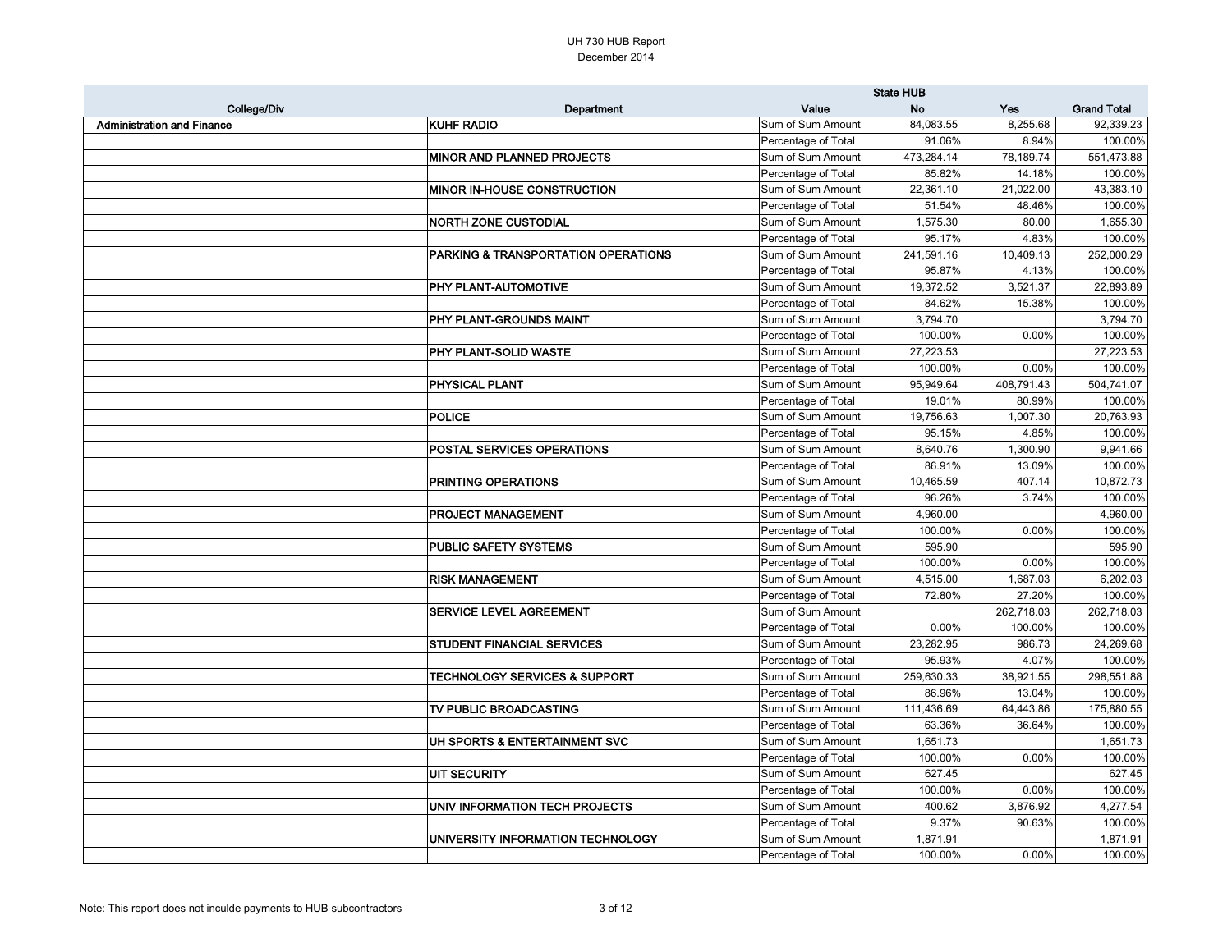|                                   |                                                | <b>State HUB</b>    |            |            |                    |
|-----------------------------------|------------------------------------------------|---------------------|------------|------------|--------------------|
| College/Div                       | Department                                     | Value               | <b>No</b>  | Yes        | <b>Grand Total</b> |
| <b>Administration and Finance</b> | <b>KUHF RADIO</b>                              | Sum of Sum Amount   | 84,083.55  | 8,255.68   | 92,339.23          |
|                                   |                                                | Percentage of Total | 91.06%     | 8.94%      | 100.00%            |
|                                   | <b>MINOR AND PLANNED PROJECTS</b>              | Sum of Sum Amount   | 473,284.14 | 78,189.74  | 551,473.88         |
|                                   |                                                | Percentage of Total | 85.82%     | 14.18%     | 100.00%            |
|                                   | <b>MINOR IN-HOUSE CONSTRUCTION</b>             | Sum of Sum Amount   | 22,361.10  | 21,022.00  | 43,383.10          |
|                                   |                                                | Percentage of Total | 51.54%     | 48.46%     | 100.00%            |
|                                   | <b>NORTH ZONE CUSTODIAL</b>                    | Sum of Sum Amount   | 1,575.30   | 80.00      | 1,655.30           |
|                                   |                                                | Percentage of Total | 95.17%     | 4.83%      | 100.00%            |
|                                   | <b>PARKING &amp; TRANSPORTATION OPERATIONS</b> | Sum of Sum Amount   | 241,591.16 | 10,409.13  | 252,000.29         |
|                                   |                                                | Percentage of Total | 95.87%     | 4.13%      | 100.00%            |
|                                   | <b>PHY PLANT-AUTOMOTIVE</b>                    | Sum of Sum Amount   | 19,372.52  | 3,521.37   | 22,893.89          |
|                                   |                                                | Percentage of Total | 84.62%     | 15.38%     | 100.00%            |
|                                   | <b>PHY PLANT-GROUNDS MAINT</b>                 | Sum of Sum Amount   | 3,794.70   |            | 3,794.70           |
|                                   |                                                | Percentage of Total | 100.00%    | 0.00%      | 100.00%            |
|                                   | <b>PHY PLANT-SOLID WASTE</b>                   | Sum of Sum Amount   | 27,223.53  |            | 27,223.53          |
|                                   |                                                | Percentage of Total | 100.00%    | 0.00%      | 100.00%            |
|                                   | <b>PHYSICAL PLANT</b>                          | Sum of Sum Amount   | 95,949.64  | 408,791.43 | 504,741.07         |
|                                   |                                                | Percentage of Total | 19.01%     | 80.99%     | 100.00%            |
|                                   | POLICE                                         | Sum of Sum Amount   | 19,756.63  | 1,007.30   | 20,763.93          |
|                                   |                                                | Percentage of Total | 95.15%     | 4.85%      | 100.00%            |
|                                   | <b>POSTAL SERVICES OPERATIONS</b>              | Sum of Sum Amount   | 8,640.76   | 1,300.90   | 9,941.66           |
|                                   |                                                | Percentage of Total | 86.91%     | 13.09%     | 100.00%            |
|                                   | <b>PRINTING OPERATIONS</b>                     | Sum of Sum Amount   | 10,465.59  | 407.14     | 10,872.73          |
|                                   |                                                | Percentage of Total | 96.26%     | 3.74%      | 100.00%            |
|                                   | <b>PROJECT MANAGEMENT</b>                      | Sum of Sum Amount   | 4,960.00   |            | 4,960.00           |
|                                   |                                                | Percentage of Total | 100.00%    | 0.00%      | 100.00%            |
|                                   | <b>PUBLIC SAFETY SYSTEMS</b>                   | Sum of Sum Amount   | 595.90     |            | 595.90             |
|                                   |                                                | Percentage of Total | 100.00%    | 0.00%      | 100.00%            |
|                                   | <b>RISK MANAGEMENT</b>                         | Sum of Sum Amount   | 4,515.00   | 1,687.03   | 6,202.03           |
|                                   |                                                | Percentage of Total | 72.80%     | 27.20%     | 100.00%            |
|                                   | <b>SERVICE LEVEL AGREEMENT</b>                 | Sum of Sum Amount   |            | 262,718.03 | 262,718.03         |
|                                   |                                                | Percentage of Total | 0.00%      | 100.00%    | 100.00%            |
|                                   | <b>STUDENT FINANCIAL SERVICES</b>              | Sum of Sum Amount   | 23,282.95  | 986.73     | 24,269.68          |
|                                   |                                                | Percentage of Total | 95.93%     | 4.07%      | 100.00%            |
|                                   | <b>TECHNOLOGY SERVICES &amp; SUPPORT</b>       | Sum of Sum Amount   | 259,630.33 | 38,921.55  | 298,551.88         |
|                                   |                                                | Percentage of Total | 86.96%     | 13.04%     | 100.00%            |
|                                   | TV PUBLIC BROADCASTING                         | Sum of Sum Amount   | 111,436.69 | 64,443.86  | 175,880.55         |
|                                   |                                                | Percentage of Total | 63.36%     | 36.64%     | 100.00%            |
|                                   | UH SPORTS & ENTERTAINMENT SVC                  | Sum of Sum Amount   | 1,651.73   |            | 1,651.73           |
|                                   |                                                | Percentage of Total | 100.00%    | 0.00%      | 100.00%            |
|                                   | UIT SECURITY                                   | Sum of Sum Amount   | 627.45     |            | 627.45             |
|                                   |                                                | Percentage of Total | 100.00%    | 0.00%      | 100.00%            |
|                                   | UNIV INFORMATION TECH PROJECTS                 | Sum of Sum Amount   | 400.62     | 3,876.92   | 4,277.54           |
|                                   |                                                | Percentage of Total | 9.37%      | 90.63%     | 100.00%            |
|                                   | UNIVERSITY INFORMATION TECHNOLOGY              | Sum of Sum Amount   | 1,871.91   |            | 1,871.91           |
|                                   |                                                | Percentage of Total | 100.00%    | 0.00%      | 100.00%            |
|                                   |                                                |                     |            |            |                    |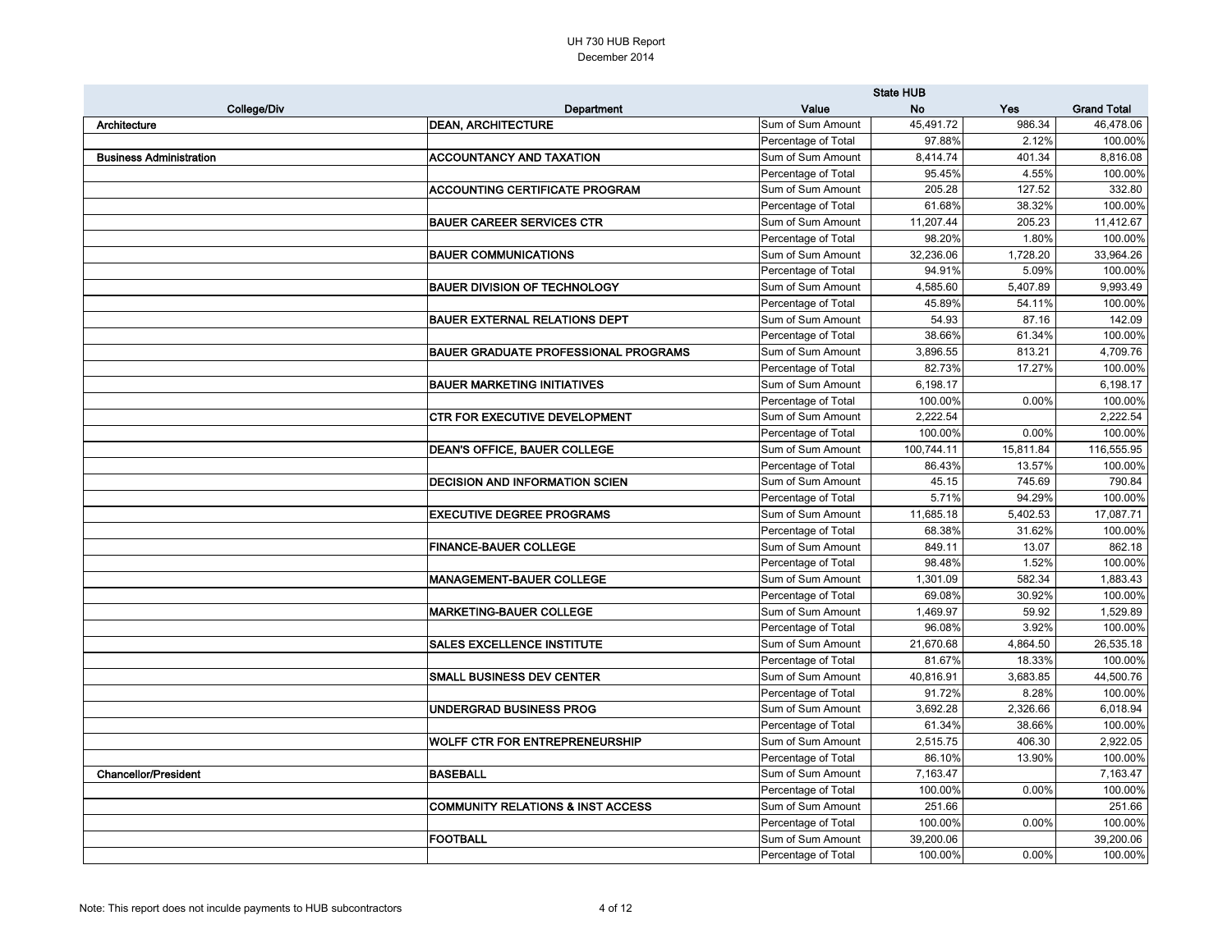| <b>Grand Total</b><br>College/Div<br>Value<br><b>No</b><br>Yes<br>Department<br><b>DEAN, ARCHITECTURE</b><br>45,491.72<br>986.34<br>Architecture<br>Sum of Sum Amount<br>Percentage of Total<br>97.88%<br>2.12%<br><b>Business Administration</b><br><b>ACCOUNTANCY AND TAXATION</b><br>Sum of Sum Amount<br>8,414.74<br>401.34<br>Percentage of Total<br>95.45%<br>4.55%<br><b>ACCOUNTING CERTIFICATE PROGRAM</b><br>Sum of Sum Amount<br>205.28<br>127.52<br>Percentage of Total<br>61.68%<br>38.32%<br><b>BAUER CAREER SERVICES CTR</b><br>Sum of Sum Amount<br>11,207.44<br>205.23<br>Percentage of Total<br>98.20%<br>1.80%<br><b>BAUER COMMUNICATIONS</b><br>Sum of Sum Amount<br>32,236.06<br>1,728.20<br>Percentage of Total<br>5.09%<br>94.91%<br><b>BAUER DIVISION OF TECHNOLOGY</b><br>Sum of Sum Amount<br>4,585.60<br>5,407.89<br>45.89%<br>54.11%<br>Percentage of Total<br><b>BAUER EXTERNAL RELATIONS DEPT</b><br>Sum of Sum Amount<br>54.93<br>87.16<br>Percentage of Total<br>38.66%<br>61.34%<br><b>BAUER GRADUATE PROFESSIONAL PROGRAMS</b><br>3,896.55<br>Sum of Sum Amount<br>813.21<br>82.73%<br>17.27%<br>Percentage of Total<br><b>BAUER MARKETING INITIATIVES</b><br>6,198.17<br>Sum of Sum Amount<br>100.00%<br>0.00%<br>Percentage of Total<br><b>CTR FOR EXECUTIVE DEVELOPMENT</b><br>Sum of Sum Amount<br>2,222.54<br>2,222.54<br>100.00%<br>0.00%<br>Percentage of Total<br><b>DEAN'S OFFICE, BAUER COLLEGE</b><br>Sum of Sum Amount<br>100,744.11<br>15,811.84<br>13.57%<br>Percentage of Total<br>86.43%<br><b>DECISION AND INFORMATION SCIEN</b><br>Sum of Sum Amount<br>745.69<br>45.15<br>Percentage of Total<br>5.71%<br>94.29%<br><b>EXECUTIVE DEGREE PROGRAMS</b><br>Sum of Sum Amount<br>11,685.18<br>5,402.53<br>Percentage of Total<br>68.38%<br>31.62%<br><b>FINANCE-BAUER COLLEGE</b><br>Sum of Sum Amount<br>849.11<br>13.07<br>Percentage of Total<br>98.48%<br>1.52%<br>MANAGEMENT-BAUER COLLEGE<br>Sum of Sum Amount<br>1,301.09<br>582.34<br>69.08%<br>30.92%<br>Percentage of Total<br><b>MARKETING-BAUER COLLEGE</b><br>Sum of Sum Amount<br>1,469.97<br>59.92<br>Percentage of Total<br>96.08%<br>3.92%<br>Sum of Sum Amount<br><b>SALES EXCELLENCE INSTITUTE</b><br>21,670.68<br>4,864.50<br>Percentage of Total<br>81.67%<br>18.33%<br>Sum of Sum Amount<br>40,816.91<br><b>SMALL BUSINESS DEV CENTER</b><br>3,683.85<br>Percentage of Total<br>91.72%<br>8.28%<br>Sum of Sum Amount<br>UNDERGRAD BUSINESS PROG<br>3,692.28<br>2,326.66<br>Percentage of Total<br>61.34%<br>38.66%<br><b>WOLFF CTR FOR ENTREPRENEURSHIP</b><br>Sum of Sum Amount<br>2,515.75<br>406.30<br>Percentage of Total<br>86.10%<br>13.90%<br><b>BASEBALL</b><br>Sum of Sum Amount<br>7,163.47<br><b>Chancellor/President</b><br>Percentage of Total<br>0.00%<br>100.00%<br>Sum of Sum Amount<br><b>COMMUNITY RELATIONS &amp; INST ACCESS</b><br>251.66<br>Percentage of Total<br>100.00%<br>0.00%<br><b>FOOTBALL</b><br>Sum of Sum Amount<br>39,200.06<br>Percentage of Total<br>100.00%<br>0.00% |  | <b>State HUB</b> |  |            |  |
|---------------------------------------------------------------------------------------------------------------------------------------------------------------------------------------------------------------------------------------------------------------------------------------------------------------------------------------------------------------------------------------------------------------------------------------------------------------------------------------------------------------------------------------------------------------------------------------------------------------------------------------------------------------------------------------------------------------------------------------------------------------------------------------------------------------------------------------------------------------------------------------------------------------------------------------------------------------------------------------------------------------------------------------------------------------------------------------------------------------------------------------------------------------------------------------------------------------------------------------------------------------------------------------------------------------------------------------------------------------------------------------------------------------------------------------------------------------------------------------------------------------------------------------------------------------------------------------------------------------------------------------------------------------------------------------------------------------------------------------------------------------------------------------------------------------------------------------------------------------------------------------------------------------------------------------------------------------------------------------------------------------------------------------------------------------------------------------------------------------------------------------------------------------------------------------------------------------------------------------------------------------------------------------------------------------------------------------------------------------------------------------------------------------------------------------------------------------------------------------------------------------------------------------------------------------------------------------------------------------------------------------------------------------------------------------------------------------------------------------------------------------------------------------------------------------------------------------------------------------------------------------------------------------------------------------------------------------------------------------------------------------------------------|--|------------------|--|------------|--|
|                                                                                                                                                                                                                                                                                                                                                                                                                                                                                                                                                                                                                                                                                                                                                                                                                                                                                                                                                                                                                                                                                                                                                                                                                                                                                                                                                                                                                                                                                                                                                                                                                                                                                                                                                                                                                                                                                                                                                                                                                                                                                                                                                                                                                                                                                                                                                                                                                                                                                                                                                                                                                                                                                                                                                                                                                                                                                                                                                                                                                                 |  |                  |  |            |  |
|                                                                                                                                                                                                                                                                                                                                                                                                                                                                                                                                                                                                                                                                                                                                                                                                                                                                                                                                                                                                                                                                                                                                                                                                                                                                                                                                                                                                                                                                                                                                                                                                                                                                                                                                                                                                                                                                                                                                                                                                                                                                                                                                                                                                                                                                                                                                                                                                                                                                                                                                                                                                                                                                                                                                                                                                                                                                                                                                                                                                                                 |  |                  |  | 46,478.06  |  |
|                                                                                                                                                                                                                                                                                                                                                                                                                                                                                                                                                                                                                                                                                                                                                                                                                                                                                                                                                                                                                                                                                                                                                                                                                                                                                                                                                                                                                                                                                                                                                                                                                                                                                                                                                                                                                                                                                                                                                                                                                                                                                                                                                                                                                                                                                                                                                                                                                                                                                                                                                                                                                                                                                                                                                                                                                                                                                                                                                                                                                                 |  |                  |  | 100.00%    |  |
|                                                                                                                                                                                                                                                                                                                                                                                                                                                                                                                                                                                                                                                                                                                                                                                                                                                                                                                                                                                                                                                                                                                                                                                                                                                                                                                                                                                                                                                                                                                                                                                                                                                                                                                                                                                                                                                                                                                                                                                                                                                                                                                                                                                                                                                                                                                                                                                                                                                                                                                                                                                                                                                                                                                                                                                                                                                                                                                                                                                                                                 |  |                  |  | 8,816.08   |  |
|                                                                                                                                                                                                                                                                                                                                                                                                                                                                                                                                                                                                                                                                                                                                                                                                                                                                                                                                                                                                                                                                                                                                                                                                                                                                                                                                                                                                                                                                                                                                                                                                                                                                                                                                                                                                                                                                                                                                                                                                                                                                                                                                                                                                                                                                                                                                                                                                                                                                                                                                                                                                                                                                                                                                                                                                                                                                                                                                                                                                                                 |  |                  |  | 100.00%    |  |
|                                                                                                                                                                                                                                                                                                                                                                                                                                                                                                                                                                                                                                                                                                                                                                                                                                                                                                                                                                                                                                                                                                                                                                                                                                                                                                                                                                                                                                                                                                                                                                                                                                                                                                                                                                                                                                                                                                                                                                                                                                                                                                                                                                                                                                                                                                                                                                                                                                                                                                                                                                                                                                                                                                                                                                                                                                                                                                                                                                                                                                 |  |                  |  | 332.80     |  |
|                                                                                                                                                                                                                                                                                                                                                                                                                                                                                                                                                                                                                                                                                                                                                                                                                                                                                                                                                                                                                                                                                                                                                                                                                                                                                                                                                                                                                                                                                                                                                                                                                                                                                                                                                                                                                                                                                                                                                                                                                                                                                                                                                                                                                                                                                                                                                                                                                                                                                                                                                                                                                                                                                                                                                                                                                                                                                                                                                                                                                                 |  |                  |  | 100.00%    |  |
|                                                                                                                                                                                                                                                                                                                                                                                                                                                                                                                                                                                                                                                                                                                                                                                                                                                                                                                                                                                                                                                                                                                                                                                                                                                                                                                                                                                                                                                                                                                                                                                                                                                                                                                                                                                                                                                                                                                                                                                                                                                                                                                                                                                                                                                                                                                                                                                                                                                                                                                                                                                                                                                                                                                                                                                                                                                                                                                                                                                                                                 |  |                  |  | 11,412.67  |  |
|                                                                                                                                                                                                                                                                                                                                                                                                                                                                                                                                                                                                                                                                                                                                                                                                                                                                                                                                                                                                                                                                                                                                                                                                                                                                                                                                                                                                                                                                                                                                                                                                                                                                                                                                                                                                                                                                                                                                                                                                                                                                                                                                                                                                                                                                                                                                                                                                                                                                                                                                                                                                                                                                                                                                                                                                                                                                                                                                                                                                                                 |  |                  |  | 100.00%    |  |
|                                                                                                                                                                                                                                                                                                                                                                                                                                                                                                                                                                                                                                                                                                                                                                                                                                                                                                                                                                                                                                                                                                                                                                                                                                                                                                                                                                                                                                                                                                                                                                                                                                                                                                                                                                                                                                                                                                                                                                                                                                                                                                                                                                                                                                                                                                                                                                                                                                                                                                                                                                                                                                                                                                                                                                                                                                                                                                                                                                                                                                 |  |                  |  | 33,964.26  |  |
|                                                                                                                                                                                                                                                                                                                                                                                                                                                                                                                                                                                                                                                                                                                                                                                                                                                                                                                                                                                                                                                                                                                                                                                                                                                                                                                                                                                                                                                                                                                                                                                                                                                                                                                                                                                                                                                                                                                                                                                                                                                                                                                                                                                                                                                                                                                                                                                                                                                                                                                                                                                                                                                                                                                                                                                                                                                                                                                                                                                                                                 |  |                  |  | 100.00%    |  |
|                                                                                                                                                                                                                                                                                                                                                                                                                                                                                                                                                                                                                                                                                                                                                                                                                                                                                                                                                                                                                                                                                                                                                                                                                                                                                                                                                                                                                                                                                                                                                                                                                                                                                                                                                                                                                                                                                                                                                                                                                                                                                                                                                                                                                                                                                                                                                                                                                                                                                                                                                                                                                                                                                                                                                                                                                                                                                                                                                                                                                                 |  |                  |  | 9,993.49   |  |
|                                                                                                                                                                                                                                                                                                                                                                                                                                                                                                                                                                                                                                                                                                                                                                                                                                                                                                                                                                                                                                                                                                                                                                                                                                                                                                                                                                                                                                                                                                                                                                                                                                                                                                                                                                                                                                                                                                                                                                                                                                                                                                                                                                                                                                                                                                                                                                                                                                                                                                                                                                                                                                                                                                                                                                                                                                                                                                                                                                                                                                 |  |                  |  | 100.00%    |  |
|                                                                                                                                                                                                                                                                                                                                                                                                                                                                                                                                                                                                                                                                                                                                                                                                                                                                                                                                                                                                                                                                                                                                                                                                                                                                                                                                                                                                                                                                                                                                                                                                                                                                                                                                                                                                                                                                                                                                                                                                                                                                                                                                                                                                                                                                                                                                                                                                                                                                                                                                                                                                                                                                                                                                                                                                                                                                                                                                                                                                                                 |  |                  |  | 142.09     |  |
|                                                                                                                                                                                                                                                                                                                                                                                                                                                                                                                                                                                                                                                                                                                                                                                                                                                                                                                                                                                                                                                                                                                                                                                                                                                                                                                                                                                                                                                                                                                                                                                                                                                                                                                                                                                                                                                                                                                                                                                                                                                                                                                                                                                                                                                                                                                                                                                                                                                                                                                                                                                                                                                                                                                                                                                                                                                                                                                                                                                                                                 |  |                  |  | 100.00%    |  |
|                                                                                                                                                                                                                                                                                                                                                                                                                                                                                                                                                                                                                                                                                                                                                                                                                                                                                                                                                                                                                                                                                                                                                                                                                                                                                                                                                                                                                                                                                                                                                                                                                                                                                                                                                                                                                                                                                                                                                                                                                                                                                                                                                                                                                                                                                                                                                                                                                                                                                                                                                                                                                                                                                                                                                                                                                                                                                                                                                                                                                                 |  |                  |  | 4,709.76   |  |
|                                                                                                                                                                                                                                                                                                                                                                                                                                                                                                                                                                                                                                                                                                                                                                                                                                                                                                                                                                                                                                                                                                                                                                                                                                                                                                                                                                                                                                                                                                                                                                                                                                                                                                                                                                                                                                                                                                                                                                                                                                                                                                                                                                                                                                                                                                                                                                                                                                                                                                                                                                                                                                                                                                                                                                                                                                                                                                                                                                                                                                 |  |                  |  | 100.00%    |  |
|                                                                                                                                                                                                                                                                                                                                                                                                                                                                                                                                                                                                                                                                                                                                                                                                                                                                                                                                                                                                                                                                                                                                                                                                                                                                                                                                                                                                                                                                                                                                                                                                                                                                                                                                                                                                                                                                                                                                                                                                                                                                                                                                                                                                                                                                                                                                                                                                                                                                                                                                                                                                                                                                                                                                                                                                                                                                                                                                                                                                                                 |  |                  |  | 6,198.17   |  |
|                                                                                                                                                                                                                                                                                                                                                                                                                                                                                                                                                                                                                                                                                                                                                                                                                                                                                                                                                                                                                                                                                                                                                                                                                                                                                                                                                                                                                                                                                                                                                                                                                                                                                                                                                                                                                                                                                                                                                                                                                                                                                                                                                                                                                                                                                                                                                                                                                                                                                                                                                                                                                                                                                                                                                                                                                                                                                                                                                                                                                                 |  |                  |  | 100.00%    |  |
|                                                                                                                                                                                                                                                                                                                                                                                                                                                                                                                                                                                                                                                                                                                                                                                                                                                                                                                                                                                                                                                                                                                                                                                                                                                                                                                                                                                                                                                                                                                                                                                                                                                                                                                                                                                                                                                                                                                                                                                                                                                                                                                                                                                                                                                                                                                                                                                                                                                                                                                                                                                                                                                                                                                                                                                                                                                                                                                                                                                                                                 |  |                  |  |            |  |
|                                                                                                                                                                                                                                                                                                                                                                                                                                                                                                                                                                                                                                                                                                                                                                                                                                                                                                                                                                                                                                                                                                                                                                                                                                                                                                                                                                                                                                                                                                                                                                                                                                                                                                                                                                                                                                                                                                                                                                                                                                                                                                                                                                                                                                                                                                                                                                                                                                                                                                                                                                                                                                                                                                                                                                                                                                                                                                                                                                                                                                 |  |                  |  | 100.00%    |  |
|                                                                                                                                                                                                                                                                                                                                                                                                                                                                                                                                                                                                                                                                                                                                                                                                                                                                                                                                                                                                                                                                                                                                                                                                                                                                                                                                                                                                                                                                                                                                                                                                                                                                                                                                                                                                                                                                                                                                                                                                                                                                                                                                                                                                                                                                                                                                                                                                                                                                                                                                                                                                                                                                                                                                                                                                                                                                                                                                                                                                                                 |  |                  |  | 116,555.95 |  |
|                                                                                                                                                                                                                                                                                                                                                                                                                                                                                                                                                                                                                                                                                                                                                                                                                                                                                                                                                                                                                                                                                                                                                                                                                                                                                                                                                                                                                                                                                                                                                                                                                                                                                                                                                                                                                                                                                                                                                                                                                                                                                                                                                                                                                                                                                                                                                                                                                                                                                                                                                                                                                                                                                                                                                                                                                                                                                                                                                                                                                                 |  |                  |  | 100.00%    |  |
|                                                                                                                                                                                                                                                                                                                                                                                                                                                                                                                                                                                                                                                                                                                                                                                                                                                                                                                                                                                                                                                                                                                                                                                                                                                                                                                                                                                                                                                                                                                                                                                                                                                                                                                                                                                                                                                                                                                                                                                                                                                                                                                                                                                                                                                                                                                                                                                                                                                                                                                                                                                                                                                                                                                                                                                                                                                                                                                                                                                                                                 |  |                  |  | 790.84     |  |
|                                                                                                                                                                                                                                                                                                                                                                                                                                                                                                                                                                                                                                                                                                                                                                                                                                                                                                                                                                                                                                                                                                                                                                                                                                                                                                                                                                                                                                                                                                                                                                                                                                                                                                                                                                                                                                                                                                                                                                                                                                                                                                                                                                                                                                                                                                                                                                                                                                                                                                                                                                                                                                                                                                                                                                                                                                                                                                                                                                                                                                 |  |                  |  | 100.00%    |  |
|                                                                                                                                                                                                                                                                                                                                                                                                                                                                                                                                                                                                                                                                                                                                                                                                                                                                                                                                                                                                                                                                                                                                                                                                                                                                                                                                                                                                                                                                                                                                                                                                                                                                                                                                                                                                                                                                                                                                                                                                                                                                                                                                                                                                                                                                                                                                                                                                                                                                                                                                                                                                                                                                                                                                                                                                                                                                                                                                                                                                                                 |  |                  |  | 17,087.71  |  |
|                                                                                                                                                                                                                                                                                                                                                                                                                                                                                                                                                                                                                                                                                                                                                                                                                                                                                                                                                                                                                                                                                                                                                                                                                                                                                                                                                                                                                                                                                                                                                                                                                                                                                                                                                                                                                                                                                                                                                                                                                                                                                                                                                                                                                                                                                                                                                                                                                                                                                                                                                                                                                                                                                                                                                                                                                                                                                                                                                                                                                                 |  |                  |  | 100.00%    |  |
|                                                                                                                                                                                                                                                                                                                                                                                                                                                                                                                                                                                                                                                                                                                                                                                                                                                                                                                                                                                                                                                                                                                                                                                                                                                                                                                                                                                                                                                                                                                                                                                                                                                                                                                                                                                                                                                                                                                                                                                                                                                                                                                                                                                                                                                                                                                                                                                                                                                                                                                                                                                                                                                                                                                                                                                                                                                                                                                                                                                                                                 |  |                  |  | 862.18     |  |
|                                                                                                                                                                                                                                                                                                                                                                                                                                                                                                                                                                                                                                                                                                                                                                                                                                                                                                                                                                                                                                                                                                                                                                                                                                                                                                                                                                                                                                                                                                                                                                                                                                                                                                                                                                                                                                                                                                                                                                                                                                                                                                                                                                                                                                                                                                                                                                                                                                                                                                                                                                                                                                                                                                                                                                                                                                                                                                                                                                                                                                 |  |                  |  | 100.00%    |  |
|                                                                                                                                                                                                                                                                                                                                                                                                                                                                                                                                                                                                                                                                                                                                                                                                                                                                                                                                                                                                                                                                                                                                                                                                                                                                                                                                                                                                                                                                                                                                                                                                                                                                                                                                                                                                                                                                                                                                                                                                                                                                                                                                                                                                                                                                                                                                                                                                                                                                                                                                                                                                                                                                                                                                                                                                                                                                                                                                                                                                                                 |  |                  |  | 1,883.43   |  |
|                                                                                                                                                                                                                                                                                                                                                                                                                                                                                                                                                                                                                                                                                                                                                                                                                                                                                                                                                                                                                                                                                                                                                                                                                                                                                                                                                                                                                                                                                                                                                                                                                                                                                                                                                                                                                                                                                                                                                                                                                                                                                                                                                                                                                                                                                                                                                                                                                                                                                                                                                                                                                                                                                                                                                                                                                                                                                                                                                                                                                                 |  |                  |  | 100.00%    |  |
|                                                                                                                                                                                                                                                                                                                                                                                                                                                                                                                                                                                                                                                                                                                                                                                                                                                                                                                                                                                                                                                                                                                                                                                                                                                                                                                                                                                                                                                                                                                                                                                                                                                                                                                                                                                                                                                                                                                                                                                                                                                                                                                                                                                                                                                                                                                                                                                                                                                                                                                                                                                                                                                                                                                                                                                                                                                                                                                                                                                                                                 |  |                  |  | 1,529.89   |  |
|                                                                                                                                                                                                                                                                                                                                                                                                                                                                                                                                                                                                                                                                                                                                                                                                                                                                                                                                                                                                                                                                                                                                                                                                                                                                                                                                                                                                                                                                                                                                                                                                                                                                                                                                                                                                                                                                                                                                                                                                                                                                                                                                                                                                                                                                                                                                                                                                                                                                                                                                                                                                                                                                                                                                                                                                                                                                                                                                                                                                                                 |  |                  |  | 100.00%    |  |
|                                                                                                                                                                                                                                                                                                                                                                                                                                                                                                                                                                                                                                                                                                                                                                                                                                                                                                                                                                                                                                                                                                                                                                                                                                                                                                                                                                                                                                                                                                                                                                                                                                                                                                                                                                                                                                                                                                                                                                                                                                                                                                                                                                                                                                                                                                                                                                                                                                                                                                                                                                                                                                                                                                                                                                                                                                                                                                                                                                                                                                 |  |                  |  | 26,535.18  |  |
|                                                                                                                                                                                                                                                                                                                                                                                                                                                                                                                                                                                                                                                                                                                                                                                                                                                                                                                                                                                                                                                                                                                                                                                                                                                                                                                                                                                                                                                                                                                                                                                                                                                                                                                                                                                                                                                                                                                                                                                                                                                                                                                                                                                                                                                                                                                                                                                                                                                                                                                                                                                                                                                                                                                                                                                                                                                                                                                                                                                                                                 |  |                  |  | 100.00%    |  |
|                                                                                                                                                                                                                                                                                                                                                                                                                                                                                                                                                                                                                                                                                                                                                                                                                                                                                                                                                                                                                                                                                                                                                                                                                                                                                                                                                                                                                                                                                                                                                                                                                                                                                                                                                                                                                                                                                                                                                                                                                                                                                                                                                                                                                                                                                                                                                                                                                                                                                                                                                                                                                                                                                                                                                                                                                                                                                                                                                                                                                                 |  |                  |  | 44,500.76  |  |
|                                                                                                                                                                                                                                                                                                                                                                                                                                                                                                                                                                                                                                                                                                                                                                                                                                                                                                                                                                                                                                                                                                                                                                                                                                                                                                                                                                                                                                                                                                                                                                                                                                                                                                                                                                                                                                                                                                                                                                                                                                                                                                                                                                                                                                                                                                                                                                                                                                                                                                                                                                                                                                                                                                                                                                                                                                                                                                                                                                                                                                 |  |                  |  | 100.00%    |  |
|                                                                                                                                                                                                                                                                                                                                                                                                                                                                                                                                                                                                                                                                                                                                                                                                                                                                                                                                                                                                                                                                                                                                                                                                                                                                                                                                                                                                                                                                                                                                                                                                                                                                                                                                                                                                                                                                                                                                                                                                                                                                                                                                                                                                                                                                                                                                                                                                                                                                                                                                                                                                                                                                                                                                                                                                                                                                                                                                                                                                                                 |  |                  |  | 6,018.94   |  |
|                                                                                                                                                                                                                                                                                                                                                                                                                                                                                                                                                                                                                                                                                                                                                                                                                                                                                                                                                                                                                                                                                                                                                                                                                                                                                                                                                                                                                                                                                                                                                                                                                                                                                                                                                                                                                                                                                                                                                                                                                                                                                                                                                                                                                                                                                                                                                                                                                                                                                                                                                                                                                                                                                                                                                                                                                                                                                                                                                                                                                                 |  |                  |  | 100.00%    |  |
|                                                                                                                                                                                                                                                                                                                                                                                                                                                                                                                                                                                                                                                                                                                                                                                                                                                                                                                                                                                                                                                                                                                                                                                                                                                                                                                                                                                                                                                                                                                                                                                                                                                                                                                                                                                                                                                                                                                                                                                                                                                                                                                                                                                                                                                                                                                                                                                                                                                                                                                                                                                                                                                                                                                                                                                                                                                                                                                                                                                                                                 |  |                  |  | 2,922.05   |  |
|                                                                                                                                                                                                                                                                                                                                                                                                                                                                                                                                                                                                                                                                                                                                                                                                                                                                                                                                                                                                                                                                                                                                                                                                                                                                                                                                                                                                                                                                                                                                                                                                                                                                                                                                                                                                                                                                                                                                                                                                                                                                                                                                                                                                                                                                                                                                                                                                                                                                                                                                                                                                                                                                                                                                                                                                                                                                                                                                                                                                                                 |  |                  |  | 100.00%    |  |
|                                                                                                                                                                                                                                                                                                                                                                                                                                                                                                                                                                                                                                                                                                                                                                                                                                                                                                                                                                                                                                                                                                                                                                                                                                                                                                                                                                                                                                                                                                                                                                                                                                                                                                                                                                                                                                                                                                                                                                                                                                                                                                                                                                                                                                                                                                                                                                                                                                                                                                                                                                                                                                                                                                                                                                                                                                                                                                                                                                                                                                 |  |                  |  | 7,163.47   |  |
|                                                                                                                                                                                                                                                                                                                                                                                                                                                                                                                                                                                                                                                                                                                                                                                                                                                                                                                                                                                                                                                                                                                                                                                                                                                                                                                                                                                                                                                                                                                                                                                                                                                                                                                                                                                                                                                                                                                                                                                                                                                                                                                                                                                                                                                                                                                                                                                                                                                                                                                                                                                                                                                                                                                                                                                                                                                                                                                                                                                                                                 |  |                  |  | 100.00%    |  |
|                                                                                                                                                                                                                                                                                                                                                                                                                                                                                                                                                                                                                                                                                                                                                                                                                                                                                                                                                                                                                                                                                                                                                                                                                                                                                                                                                                                                                                                                                                                                                                                                                                                                                                                                                                                                                                                                                                                                                                                                                                                                                                                                                                                                                                                                                                                                                                                                                                                                                                                                                                                                                                                                                                                                                                                                                                                                                                                                                                                                                                 |  |                  |  | 251.66     |  |
|                                                                                                                                                                                                                                                                                                                                                                                                                                                                                                                                                                                                                                                                                                                                                                                                                                                                                                                                                                                                                                                                                                                                                                                                                                                                                                                                                                                                                                                                                                                                                                                                                                                                                                                                                                                                                                                                                                                                                                                                                                                                                                                                                                                                                                                                                                                                                                                                                                                                                                                                                                                                                                                                                                                                                                                                                                                                                                                                                                                                                                 |  |                  |  | 100.00%    |  |
|                                                                                                                                                                                                                                                                                                                                                                                                                                                                                                                                                                                                                                                                                                                                                                                                                                                                                                                                                                                                                                                                                                                                                                                                                                                                                                                                                                                                                                                                                                                                                                                                                                                                                                                                                                                                                                                                                                                                                                                                                                                                                                                                                                                                                                                                                                                                                                                                                                                                                                                                                                                                                                                                                                                                                                                                                                                                                                                                                                                                                                 |  |                  |  | 39,200.06  |  |
|                                                                                                                                                                                                                                                                                                                                                                                                                                                                                                                                                                                                                                                                                                                                                                                                                                                                                                                                                                                                                                                                                                                                                                                                                                                                                                                                                                                                                                                                                                                                                                                                                                                                                                                                                                                                                                                                                                                                                                                                                                                                                                                                                                                                                                                                                                                                                                                                                                                                                                                                                                                                                                                                                                                                                                                                                                                                                                                                                                                                                                 |  |                  |  | 100.00%    |  |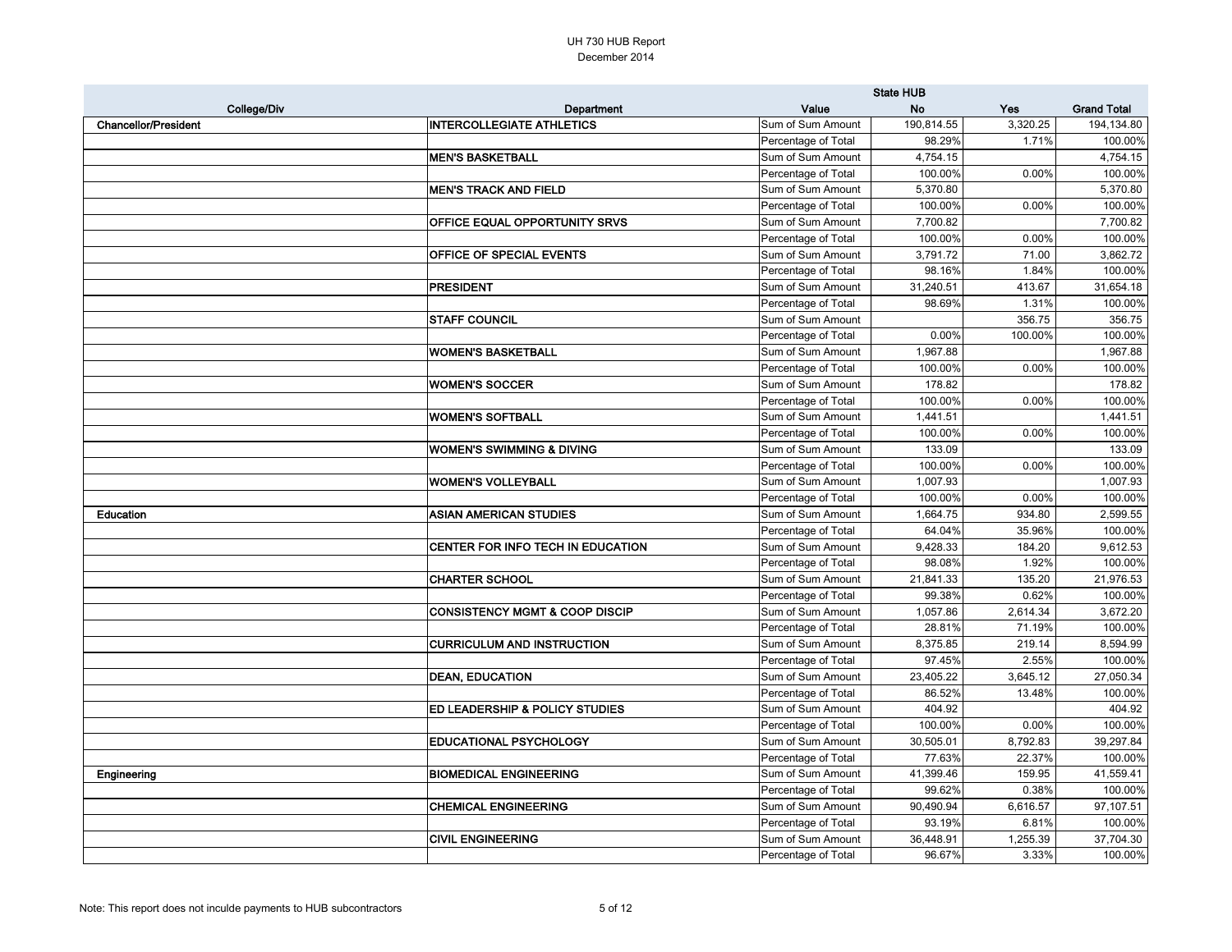|                             |                                           | <b>State HUB</b>    |            |          |                    |
|-----------------------------|-------------------------------------------|---------------------|------------|----------|--------------------|
| College/Div                 | Department                                | Value               | <b>No</b>  | Yes      | <b>Grand Total</b> |
| <b>Chancellor/President</b> | <b>INTERCOLLEGIATE ATHLETICS</b>          | Sum of Sum Amount   | 190,814.55 | 3,320.25 | 194,134.80         |
|                             |                                           | Percentage of Total | 98.29%     | 1.71%    | 100.00%            |
|                             | <b>MEN'S BASKETBALL</b>                   | Sum of Sum Amount   | 4,754.15   |          | 4,754.15           |
|                             |                                           | Percentage of Total | 100.00%    | 0.00%    | 100.00%            |
|                             | <b>MEN'S TRACK AND FIELD</b>              | Sum of Sum Amount   | 5,370.80   |          | 5,370.80           |
|                             |                                           | Percentage of Total | 100.00%    | 0.00%    | 100.00%            |
|                             | <b>OFFICE EQUAL OPPORTUNITY SRVS</b>      | Sum of Sum Amount   | 7,700.82   |          | 7,700.82           |
|                             |                                           | Percentage of Total | 100.00%    | 0.00%    | 100.00%            |
|                             | <b>OFFICE OF SPECIAL EVENTS</b>           | Sum of Sum Amount   | 3,791.72   | 71.00    | 3,862.72           |
|                             |                                           | Percentage of Total | 98.16%     | 1.84%    | 100.00%            |
|                             | <b>PRESIDENT</b>                          | Sum of Sum Amount   | 31,240.51  | 413.67   | 31,654.18          |
|                             |                                           | Percentage of Total | 98.69%     | 1.31%    | 100.00%            |
|                             | <b>STAFF COUNCIL</b>                      | Sum of Sum Amount   |            | 356.75   | 356.75             |
|                             |                                           | Percentage of Total | 0.00%      | 100.00%  | 100.00%            |
|                             | <b>WOMEN'S BASKETBALL</b>                 | Sum of Sum Amount   | 1,967.88   |          | 1,967.88           |
|                             |                                           | Percentage of Total | 100.00%    | 0.00%    | 100.00%            |
|                             | <b>WOMEN'S SOCCER</b>                     | Sum of Sum Amount   | 178.82     |          | 178.82             |
|                             |                                           | Percentage of Total | 100.00%    | 0.00%    | 100.00%            |
|                             | <b>WOMEN'S SOFTBALL</b>                   | Sum of Sum Amount   | 1,441.51   |          | 1,441.51           |
|                             |                                           | Percentage of Total | 100.00%    | 0.00%    | 100.00%            |
|                             | <b>WOMEN'S SWIMMING &amp; DIVING</b>      | Sum of Sum Amount   | 133.09     |          | 133.09             |
|                             |                                           | Percentage of Total | 100.00%    | 0.00%    | 100.00%            |
|                             | <b>WOMEN'S VOLLEYBALL</b>                 | Sum of Sum Amount   | 1,007.93   |          | 1,007.93           |
|                             |                                           | Percentage of Total | 100.00%    | 0.00%    | 100.00%            |
| Education                   | <b>ASIAN AMERICAN STUDIES</b>             | Sum of Sum Amount   | 1,664.75   | 934.80   | 2,599.55           |
|                             |                                           | Percentage of Total | 64.04%     | 35.96%   | 100.00%            |
|                             | CENTER FOR INFO TECH IN EDUCATION         | Sum of Sum Amount   | 9,428.33   | 184.20   | 9,612.53           |
|                             |                                           | Percentage of Total | 98.08%     | 1.92%    | 100.00%            |
|                             | <b>CHARTER SCHOOL</b>                     | Sum of Sum Amount   | 21,841.33  | 135.20   | 21,976.53          |
|                             |                                           | Percentage of Total | 99.38%     | 0.62%    | 100.00%            |
|                             | <b>CONSISTENCY MGMT &amp; COOP DISCIP</b> | Sum of Sum Amount   | 1,057.86   | 2,614.34 | 3,672.20           |
|                             |                                           | Percentage of Total | 28.81%     | 71.19%   | 100.00%            |
|                             | <b>CURRICULUM AND INSTRUCTION</b>         | Sum of Sum Amount   | 8,375.85   | 219.14   | 8,594.99           |
|                             |                                           | Percentage of Total | 97.45%     | 2.55%    | 100.00%            |
|                             | <b>DEAN, EDUCATION</b>                    | Sum of Sum Amount   | 23,405.22  | 3,645.12 | 27,050.34          |
|                             |                                           | Percentage of Total | 86.52%     | 13.48%   | 100.00%            |
|                             | <b>ED LEADERSHIP &amp; POLICY STUDIES</b> | Sum of Sum Amount   | 404.92     |          | 404.92             |
|                             |                                           | Percentage of Total | 100.00%    | 0.00%    | 100.00%            |
|                             | <b>EDUCATIONAL PSYCHOLOGY</b>             | Sum of Sum Amount   | 30,505.01  | 8,792.83 | 39,297.84          |
|                             |                                           | Percentage of Total | 77.63%     | 22.37%   | 100.00%            |
| Engineering                 | <b>BIOMEDICAL ENGINEERING</b>             | Sum of Sum Amount   | 41,399.46  | 159.95   | 41,559.41          |
|                             |                                           | Percentage of Total | 99.62%     | 0.38%    | 100.00%            |
|                             | <b>CHEMICAL ENGINEERING</b>               | Sum of Sum Amount   | 90,490.94  | 6,616.57 | 97,107.51          |
|                             |                                           | Percentage of Total | 93.19%     | 6.81%    | 100.00%            |
|                             | <b>CIVIL ENGINEERING</b>                  | Sum of Sum Amount   | 36,448.91  | 1,255.39 | 37,704.30          |
|                             |                                           | Percentage of Total | 96.67%     | 3.33%    | 100.00%            |
|                             |                                           |                     |            |          |                    |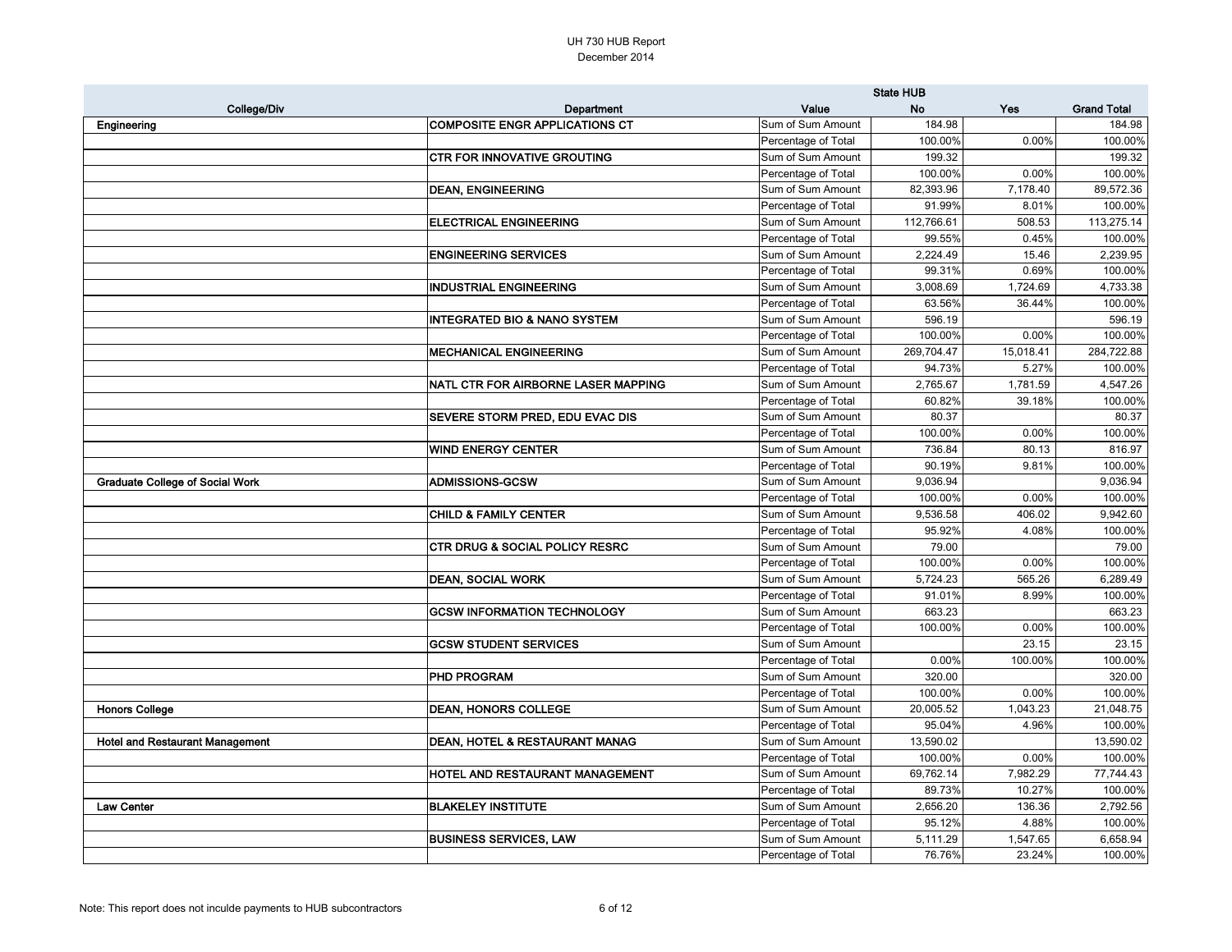|                                        |                                           | <b>State HUB</b>    |            |           |                    |
|----------------------------------------|-------------------------------------------|---------------------|------------|-----------|--------------------|
| <b>College/Div</b>                     | <b>Department</b>                         | Value               | <b>No</b>  | Yes       | <b>Grand Total</b> |
| Engineering                            | <b>COMPOSITE ENGR APPLICATIONS CT</b>     | Sum of Sum Amount   | 184.98     |           | 184.98             |
|                                        |                                           | Percentage of Total | 100.00%    | 0.00%     | 100.00%            |
|                                        | <b>CTR FOR INNOVATIVE GROUTING</b>        | Sum of Sum Amount   | 199.32     |           | 199.32             |
|                                        |                                           | Percentage of Total | 100.00%    | 0.00%     | 100.00%            |
|                                        | <b>DEAN, ENGINEERING</b>                  | Sum of Sum Amount   | 82,393.96  | 7,178.40  | 89,572.36          |
|                                        |                                           | Percentage of Total | 91.99%     | 8.01%     | 100.00%            |
|                                        | <b>ELECTRICAL ENGINEERING</b>             | Sum of Sum Amount   | 112,766.61 | 508.53    | 113,275.14         |
|                                        |                                           | Percentage of Total | 99.55%     | 0.45%     | 100.00%            |
|                                        | <b>ENGINEERING SERVICES</b>               | Sum of Sum Amount   | 2,224.49   | 15.46     | 2,239.95           |
|                                        |                                           | Percentage of Total | 99.31%     | 0.69%     | 100.00%            |
|                                        | <b>INDUSTRIAL ENGINEERING</b>             | Sum of Sum Amount   | 3,008.69   | 1,724.69  | 4,733.38           |
|                                        |                                           | Percentage of Total | 63.56%     | 36.44%    | 100.00%            |
|                                        | <b>INTEGRATED BIO &amp; NANO SYSTEM</b>   | Sum of Sum Amount   | 596.19     |           | 596.19             |
|                                        |                                           | Percentage of Total | 100.00%    | 0.00%     | 100.00%            |
|                                        | <b>MECHANICAL ENGINEERING</b>             | Sum of Sum Amount   | 269,704.47 | 15,018.41 | 284,722.88         |
|                                        |                                           | Percentage of Total | 94.73%     | 5.27%     | 100.00%            |
|                                        | NATL CTR FOR AIRBORNE LASER MAPPING       | Sum of Sum Amount   | 2,765.67   | 1,781.59  | 4,547.26           |
|                                        |                                           | Percentage of Total | 60.82%     | 39.18%    | 100.00%            |
|                                        | SEVERE STORM PRED, EDU EVAC DIS           | Sum of Sum Amount   | 80.37      |           | 80.37              |
|                                        |                                           | Percentage of Total | 100.00%    | 0.00%     | 100.00%            |
|                                        | <b>WIND ENERGY CENTER</b>                 | Sum of Sum Amount   | 736.84     | 80.13     | 816.97             |
|                                        |                                           | Percentage of Total | 90.19%     | 9.81%     | 100.00%            |
| <b>Graduate College of Social Work</b> | <b>ADMISSIONS-GCSW</b>                    | Sum of Sum Amount   | 9,036.94   |           | 9,036.94           |
|                                        |                                           | Percentage of Total | 100.00%    | 0.00%     | 100.00%            |
|                                        | <b>CHILD &amp; FAMILY CENTER</b>          | Sum of Sum Amount   | 9,536.58   | 406.02    | 9,942.60           |
|                                        |                                           | Percentage of Total | 95.92%     | 4.08%     | 100.00%            |
|                                        | <b>CTR DRUG &amp; SOCIAL POLICY RESRC</b> | Sum of Sum Amount   | 79.00      |           | 79.00              |
|                                        |                                           | Percentage of Total | 100.00%    | 0.00%     | 100.00%            |
|                                        | <b>DEAN, SOCIAL WORK</b>                  | Sum of Sum Amount   | 5,724.23   | 565.26    | 6,289.49           |
|                                        |                                           | Percentage of Total | 91.01%     | 8.99%     | 100.00%            |
|                                        | <b>GCSW INFORMATION TECHNOLOGY</b>        | Sum of Sum Amount   | 663.23     |           | 663.23             |
|                                        |                                           | Percentage of Total | 100.00%    | 0.00%     | 100.00%            |
|                                        | <b>GCSW STUDENT SERVICES</b>              | Sum of Sum Amount   |            | 23.15     | 23.15              |
|                                        |                                           | Percentage of Total | 0.00%      | 100.00%   | 100.00%            |
|                                        | <b>PHD PROGRAM</b>                        | Sum of Sum Amount   | 320.00     |           | 320.00             |
|                                        |                                           | Percentage of Total | 100.00%    | 0.00%     | 100.00%            |
| <b>Honors College</b>                  | <b>DEAN, HONORS COLLEGE</b>               | Sum of Sum Amount   | 20,005.52  | 1,043.23  | 21,048.75          |
|                                        |                                           | Percentage of Total | 95.04%     | 4.96%     | 100.00%            |
| <b>Hotel and Restaurant Management</b> | DEAN, HOTEL & RESTAURANT MANAG            | Sum of Sum Amount   | 13,590.02  |           | 13,590.02          |
|                                        |                                           | Percentage of Total | 100.00%    | 0.00%     | 100.00%            |
|                                        | HOTEL AND RESTAURANT MANAGEMENT           | Sum of Sum Amount   | 69,762.14  | 7,982.29  | 77,744.43          |
|                                        |                                           | Percentage of Total | 89.73%     | 10.27%    | 100.00%            |
| Law Center                             | <b>BLAKELEY INSTITUTE</b>                 | Sum of Sum Amount   | 2,656.20   | 136.36    | 2,792.56           |
|                                        |                                           | Percentage of Total | 95.12%     | 4.88%     | 100.00%            |
|                                        | <b>BUSINESS SERVICES, LAW</b>             | Sum of Sum Amount   | 5,111.29   | 1,547.65  | 6,658.94           |
|                                        |                                           | Percentage of Total | 76.76%     | 23.24%    | 100.00%            |
|                                        |                                           |                     |            |           |                    |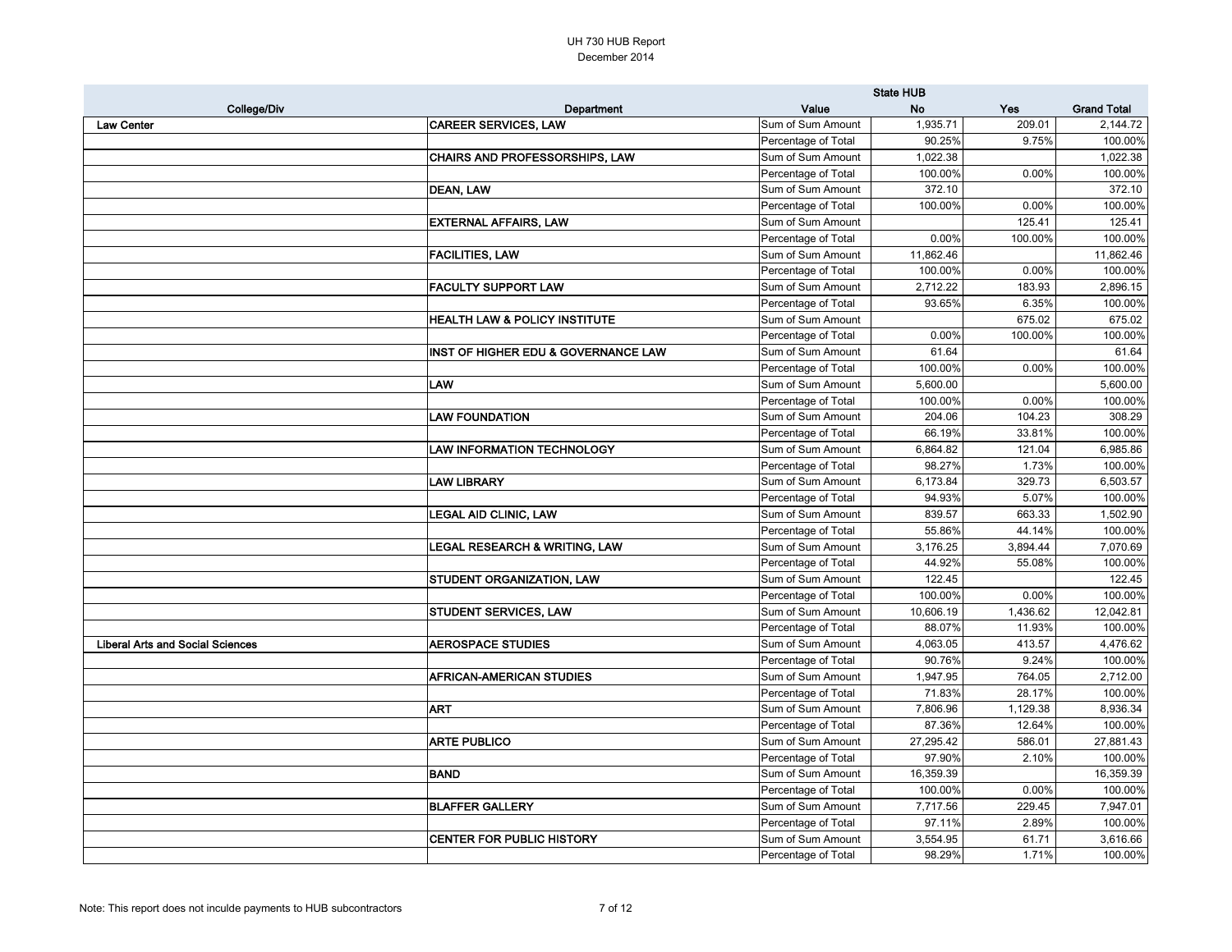|                                         |                                                |                     | <b>State HUB</b> |          |                    |  |
|-----------------------------------------|------------------------------------------------|---------------------|------------------|----------|--------------------|--|
| College/Div                             | <b>Department</b>                              | Value               | <b>No</b>        | Yes      | <b>Grand Total</b> |  |
| <b>Law Center</b>                       | <b>CAREER SERVICES, LAW</b>                    | Sum of Sum Amount   | 1,935.71         | 209.01   | 2,144.72           |  |
|                                         |                                                | Percentage of Total | 90.25%           | 9.75%    | 100.00%            |  |
|                                         | <b>CHAIRS AND PROFESSORSHIPS, LAW</b>          | Sum of Sum Amount   | 1,022.38         |          | 1,022.38           |  |
|                                         |                                                | Percentage of Total | 100.00%          | 0.00%    | 100.00%            |  |
|                                         | <b>DEAN, LAW</b>                               | Sum of Sum Amount   | 372.10           |          | 372.10             |  |
|                                         |                                                | Percentage of Total | 100.00%          | 0.00%    | 100.00%            |  |
|                                         | <b>EXTERNAL AFFAIRS, LAW</b>                   | Sum of Sum Amount   |                  | 125.41   | 125.41             |  |
|                                         |                                                | Percentage of Total | 0.00%            | 100.00%  | 100.00%            |  |
|                                         | <b>FACILITIES, LAW</b>                         | Sum of Sum Amount   | 11,862.46        |          | 11,862.46          |  |
|                                         |                                                | Percentage of Total | 100.00%          | 0.00%    | 100.00%            |  |
|                                         | <b>FACULTY SUPPORT LAW</b>                     | Sum of Sum Amount   | 2,712.22         | 183.93   | 2,896.15           |  |
|                                         |                                                | Percentage of Total | 93.65%           | 6.35%    | 100.00%            |  |
|                                         | <b>HEALTH LAW &amp; POLICY INSTITUTE</b>       | Sum of Sum Amount   |                  | 675.02   | 675.02             |  |
|                                         |                                                | Percentage of Total | 0.00%            | 100.00%  | 100.00%            |  |
|                                         | <b>INST OF HIGHER EDU &amp; GOVERNANCE LAW</b> | Sum of Sum Amount   | 61.64            |          | 61.64              |  |
|                                         |                                                | Percentage of Total | 100.00%          | 0.00%    | 100.00%            |  |
|                                         | LAW                                            | Sum of Sum Amount   | 5,600.00         |          | 5,600.00           |  |
|                                         |                                                | Percentage of Total | 100.00%          | 0.00%    | 100.00%            |  |
|                                         | <b>LAW FOUNDATION</b>                          | Sum of Sum Amount   | 204.06           | 104.23   | 308.29             |  |
|                                         |                                                | Percentage of Total | 66.19%           | 33.81%   | 100.00%            |  |
|                                         | <b>LAW INFORMATION TECHNOLOGY</b>              | Sum of Sum Amount   | 6,864.82         | 121.04   | 6,985.86           |  |
|                                         |                                                | Percentage of Total | 98.27%           | 1.73%    | 100.00%            |  |
|                                         | <b>LAW LIBRARY</b>                             | Sum of Sum Amount   | 6,173.84         | 329.73   | 6,503.57           |  |
|                                         |                                                | Percentage of Total | 94.93%           | 5.07%    | 100.00%            |  |
|                                         | <b>LEGAL AID CLINIC, LAW</b>                   | Sum of Sum Amount   | 839.57           | 663.33   | 1,502.90           |  |
|                                         |                                                | Percentage of Total | 55.86%           | 44.14%   | 100.00%            |  |
|                                         | <b>LEGAL RESEARCH &amp; WRITING, LAW</b>       | Sum of Sum Amount   | 3,176.25         | 3,894.44 | 7,070.69           |  |
|                                         |                                                | Percentage of Total | 44.92%           | 55.08%   | 100.00%            |  |
|                                         | <b>STUDENT ORGANIZATION, LAW</b>               | Sum of Sum Amount   | 122.45           |          | 122.45             |  |
|                                         |                                                | Percentage of Total | 100.00%          | 0.00%    | 100.00%            |  |
|                                         | <b>STUDENT SERVICES, LAW</b>                   | Sum of Sum Amount   | 10,606.19        | 1,436.62 | 12,042.81          |  |
|                                         |                                                | Percentage of Total | 88.07%           | 11.93%   | 100.00%            |  |
| <b>Liberal Arts and Social Sciences</b> | <b>AEROSPACE STUDIES</b>                       | Sum of Sum Amount   | 4,063.05         | 413.57   | 4,476.62           |  |
|                                         |                                                | Percentage of Total | 90.76%           | 9.24%    | 100.00%            |  |
|                                         | <b>AFRICAN-AMERICAN STUDIES</b>                | Sum of Sum Amount   | 1,947.95         | 764.05   | 2,712.00           |  |
|                                         |                                                | Percentage of Total | 71.83%           | 28.17%   | 100.00%            |  |
|                                         | <b>ART</b>                                     | Sum of Sum Amount   | 7,806.96         | 1,129.38 | 8,936.34           |  |
|                                         |                                                | Percentage of Total | 87.36%           | 12.64%   | 100.00%            |  |
|                                         | <b>ARTE PUBLICO</b>                            | Sum of Sum Amount   | 27,295.42        | 586.01   | 27,881.43          |  |
|                                         |                                                | Percentage of Total | 97.90%           | 2.10%    | 100.00%            |  |
|                                         | BAND                                           | Sum of Sum Amount   | 16,359.39        |          | 16,359.39          |  |
|                                         |                                                | Percentage of Total | 100.00%          | 0.00%    | 100.00%            |  |
|                                         | <b>BLAFFER GALLERY</b>                         | Sum of Sum Amount   | 7,717.56         | 229.45   | 7,947.01           |  |
|                                         |                                                | Percentage of Total | 97.11%           | 2.89%    | 100.00%            |  |
|                                         | <b>CENTER FOR PUBLIC HISTORY</b>               | Sum of Sum Amount   | 3,554.95         | 61.71    | 3,616.66           |  |
|                                         |                                                | Percentage of Total | 98.29%           | 1.71%    | 100.00%            |  |
|                                         |                                                |                     |                  |          |                    |  |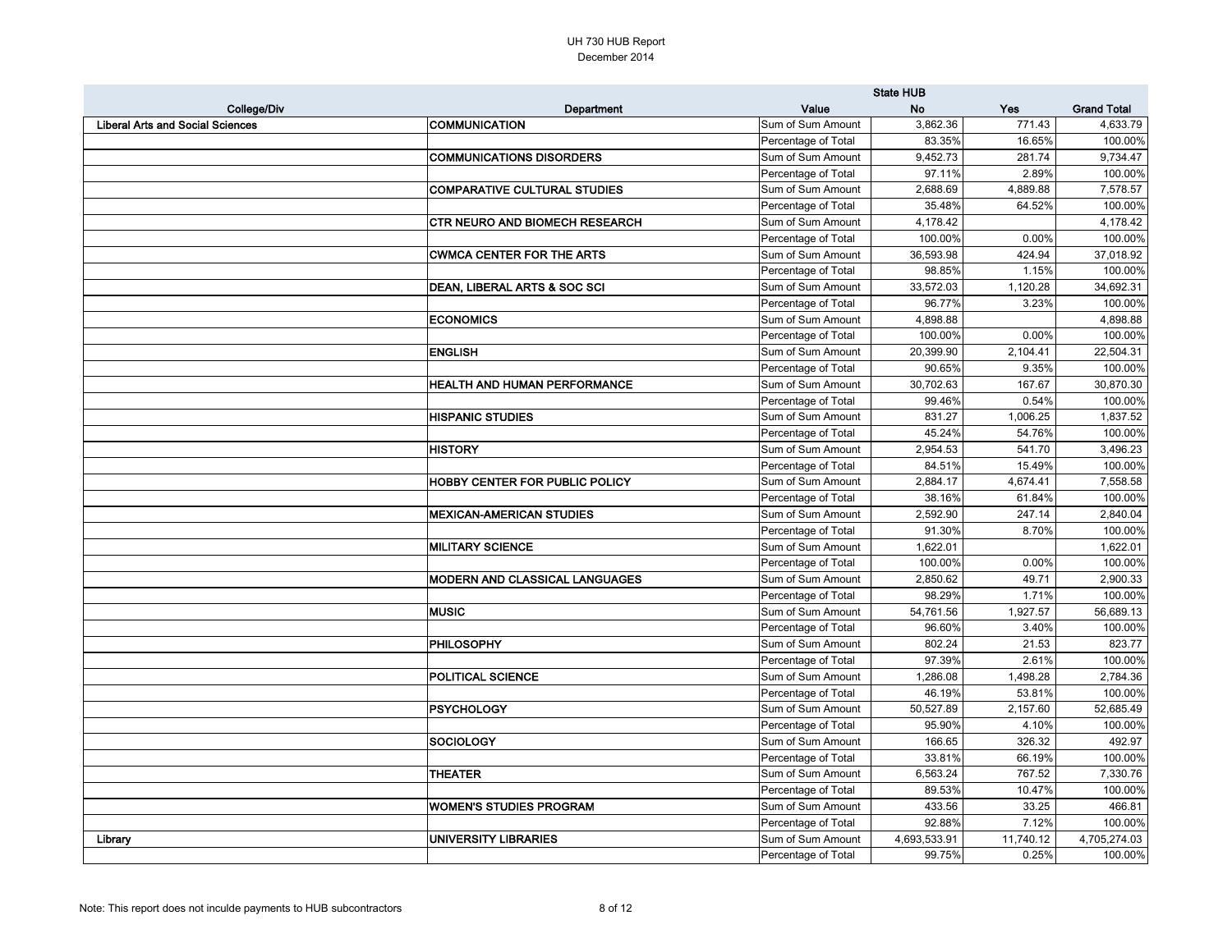|                                         |                                       | <b>State HUB</b>    |              |           |                    |
|-----------------------------------------|---------------------------------------|---------------------|--------------|-----------|--------------------|
| College/Div                             | Department                            | Value               | <b>No</b>    | Yes       | <b>Grand Total</b> |
| <b>Liberal Arts and Social Sciences</b> | <b>COMMUNICATION</b>                  | Sum of Sum Amount   | 3,862.36     | 771.43    | 4,633.79           |
|                                         |                                       | Percentage of Total | 83.35%       | 16.65%    | 100.00%            |
|                                         | <b>COMMUNICATIONS DISORDERS</b>       | Sum of Sum Amount   | 9,452.73     | 281.74    | 9,734.47           |
|                                         |                                       | Percentage of Total | 97.11%       | 2.89%     | 100.00%            |
|                                         | <b>COMPARATIVE CULTURAL STUDIES</b>   | Sum of Sum Amount   | 2,688.69     | 4,889.88  | 7,578.57           |
|                                         |                                       | Percentage of Total | 35.48%       | 64.52%    | 100.00%            |
|                                         | <b>CTR NEURO AND BIOMECH RESEARCH</b> | Sum of Sum Amount   | 4,178.42     |           | 4,178.42           |
|                                         |                                       | Percentage of Total | 100.00%      | 0.00%     | 100.00%            |
|                                         | <b>CWMCA CENTER FOR THE ARTS</b>      | Sum of Sum Amount   | 36,593.98    | 424.94    | 37,018.92          |
|                                         |                                       | Percentage of Total | 98.85%       | 1.15%     | 100.00%            |
|                                         | DEAN, LIBERAL ARTS & SOC SCI          | Sum of Sum Amount   | 33,572.03    | 1,120.28  | 34,692.31          |
|                                         |                                       | Percentage of Total | 96.77%       | 3.23%     | 100.00%            |
|                                         | <b>ECONOMICS</b>                      | Sum of Sum Amount   | 4,898.88     |           | 4,898.88           |
|                                         |                                       | Percentage of Total | 100.00%      | 0.00%     | 100.00%            |
|                                         | <b>ENGLISH</b>                        | Sum of Sum Amount   | 20,399.90    | 2,104.41  | 22,504.31          |
|                                         |                                       | Percentage of Total | 90.65%       | 9.35%     | 100.00%            |
|                                         | <b>HEALTH AND HUMAN PERFORMANCE</b>   | Sum of Sum Amount   | 30,702.63    | 167.67    | 30,870.30          |
|                                         |                                       | Percentage of Total | 99.46%       | 0.54%     | 100.00%            |
|                                         | <b>HISPANIC STUDIES</b>               | Sum of Sum Amount   | 831.27       | 1,006.25  | 1,837.52           |
|                                         |                                       | Percentage of Total | 45.24%       | 54.76%    | 100.00%            |
|                                         | <b>HISTORY</b>                        | Sum of Sum Amount   | 2,954.53     | 541.70    | 3,496.23           |
|                                         |                                       | Percentage of Total | 84.51%       | 15.49%    | 100.00%            |
|                                         | <b>HOBBY CENTER FOR PUBLIC POLICY</b> | Sum of Sum Amount   | 2,884.17     | 4,674.41  | 7,558.58           |
|                                         |                                       | Percentage of Total | 38.16%       | 61.84%    | 100.00%            |
|                                         | <b>MEXICAN-AMERICAN STUDIES</b>       | Sum of Sum Amount   | 2,592.90     | 247.14    | 2,840.04           |
|                                         |                                       | Percentage of Total | 91.30%       | 8.70%     | 100.00%            |
|                                         | <b>MILITARY SCIENCE</b>               | Sum of Sum Amount   | 1,622.01     |           | 1,622.01           |
|                                         |                                       | Percentage of Total | 100.00%      | 0.00%     | 100.00%            |
|                                         | MODERN AND CLASSICAL LANGUAGES        | Sum of Sum Amount   | 2,850.62     | 49.71     | 2,900.33           |
|                                         |                                       | Percentage of Total | 98.29%       | 1.71%     | 100.00%            |
|                                         | <b>MUSIC</b>                          | Sum of Sum Amount   | 54,761.56    | 1,927.57  | 56,689.13          |
|                                         |                                       | Percentage of Total | 96.60%       | 3.40%     | 100.00%            |
|                                         | <b>PHILOSOPHY</b>                     | Sum of Sum Amount   | 802.24       | 21.53     | 823.77             |
|                                         |                                       | Percentage of Total | 97.39%       | 2.61%     | 100.00%            |
|                                         | <b>POLITICAL SCIENCE</b>              | Sum of Sum Amount   | 1,286.08     | 1,498.28  | 2,784.36           |
|                                         |                                       | Percentage of Total | 46.19%       | 53.81%    | 100.00%            |
|                                         | <b>PSYCHOLOGY</b>                     | Sum of Sum Amount   | 50,527.89    | 2,157.60  | 52,685.49          |
|                                         |                                       | Percentage of Total | 95.90%       | 4.10%     |                    |
|                                         | <b>SOCIOLOGY</b>                      | Sum of Sum Amount   |              |           | 100.00%            |
|                                         |                                       |                     | 166.65       | 326.32    | 492.97             |
|                                         |                                       | Percentage of Total | 33.81%       | 66.19%    | 100.00%            |
|                                         | <b>THEATER</b>                        | Sum of Sum Amount   | 6,563.24     | 767.52    | 7,330.76           |
|                                         |                                       | Percentage of Total | 89.53%       | 10.47%    | 100.00%            |
|                                         | <b>WOMEN'S STUDIES PROGRAM</b>        | Sum of Sum Amount   | 433.56       | 33.25     | 466.81             |
|                                         |                                       | Percentage of Total | 92.88%       | 7.12%     | 100.00%            |
| Library                                 | UNIVERSITY LIBRARIES                  | Sum of Sum Amount   | 4,693,533.91 | 11,740.12 | 4,705,274.03       |
|                                         |                                       | Percentage of Total | 99.75%       | 0.25%     | 100.00%            |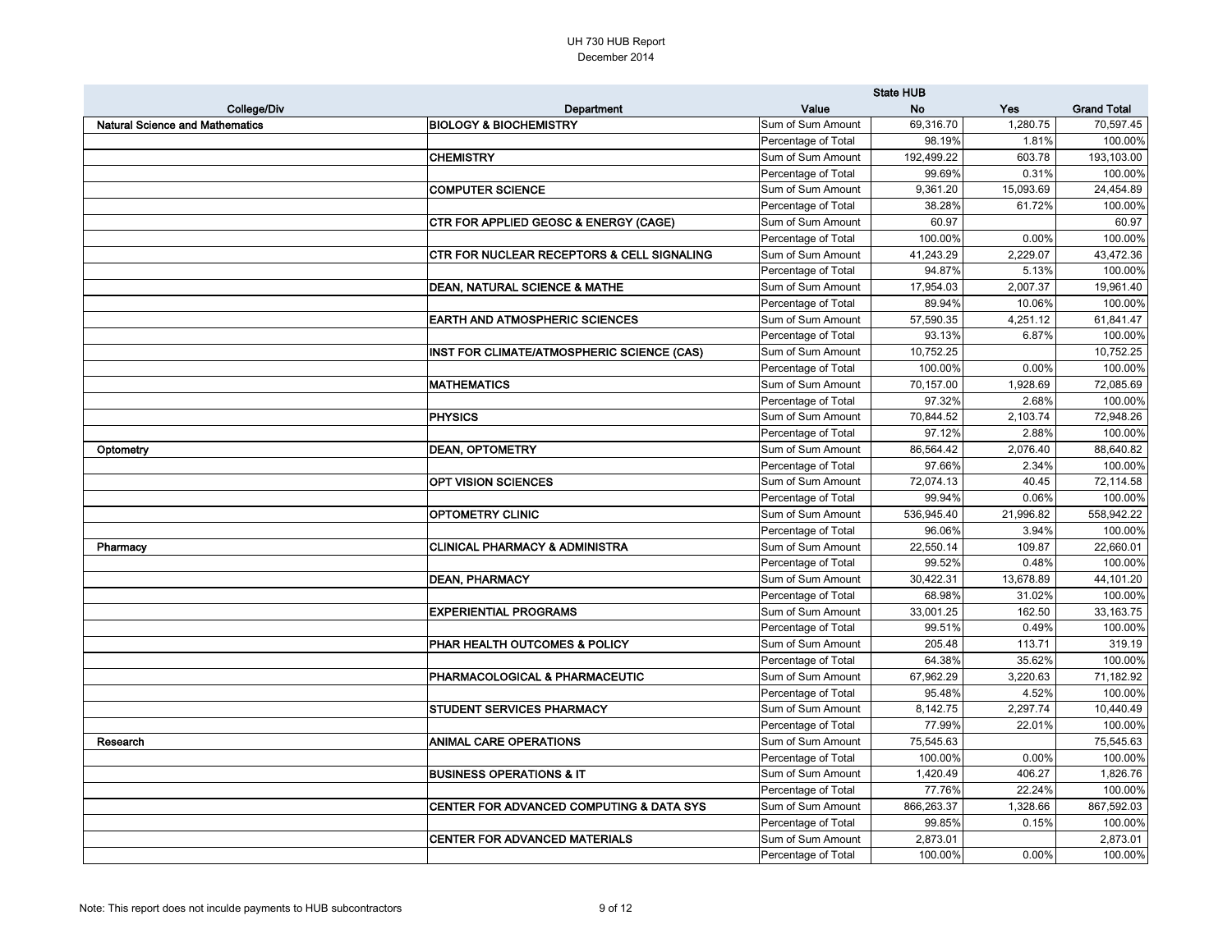| College/Div<br>Value<br><b>Yes</b><br><b>Grand Total</b><br>Department<br><b>No</b><br><b>BIOLOGY &amp; BIOCHEMISTRY</b><br><b>Natural Science and Mathematics</b><br>69,316.70<br>1,280.75<br>Sum of Sum Amount<br>Percentage of Total<br>98.19%<br>1.81%<br><b>CHEMISTRY</b><br>Sum of Sum Amount<br>192,499.22<br>603.78<br>Percentage of Total<br>99.69%<br>0.31%<br><b>COMPUTER SCIENCE</b><br>Sum of Sum Amount<br>9,361.20<br>15,093.69<br>Percentage of Total<br>38.28%<br>61.72%<br><b>CTR FOR APPLIED GEOSC &amp; ENERGY (CAGE)</b><br>Sum of Sum Amount<br>60.97<br>Percentage of Total<br>100.00%<br>0.00%<br><b>CTR FOR NUCLEAR RECEPTORS &amp; CELL SIGNALING</b><br>Sum of Sum Amount<br>41,243.29<br>2,229.07<br>Percentage of Total<br>94.87%<br>5.13%<br>Sum of Sum Amount<br>17,954.03<br>2,007.37<br><b>DEAN, NATURAL SCIENCE &amp; MATHE</b><br>Percentage of Total<br>89.94%<br>10.06%<br><b>EARTH AND ATMOSPHERIC SCIENCES</b><br>Sum of Sum Amount<br>57,590.35<br>4,251.12<br>Percentage of Total<br>6.87%<br>93.13%<br><b>INST FOR CLIMATE/ATMOSPHERIC SCIENCE (CAS)</b><br>Sum of Sum Amount<br>10,752.25<br>Percentage of Total<br>100.00%<br>0.00%<br><b>MATHEMATICS</b><br>Sum of Sum Amount<br>70,157.00<br>1,928.69<br>Percentage of Total<br>97.32%<br>2.68%<br><b>PHYSICS</b><br>Sum of Sum Amount<br>70,844.52<br>2,103.74<br>Percentage of Total<br>97.12%<br>2.88%<br><b>DEAN, OPTOMETRY</b><br>Sum of Sum Amount<br>86,564.42<br>2,076.40<br>Optometry<br>Percentage of Total<br>97.66%<br>2.34%<br><b>OPT VISION SCIENCES</b><br>Sum of Sum Amount<br>72,074.13<br>40.45<br>Percentage of Total<br>99.94%<br>0.06%<br><b>OPTOMETRY CLINIC</b><br>Sum of Sum Amount<br>536,945.40<br>21,996.82<br>96.06%<br>3.94%<br>Percentage of Total<br><b>CLINICAL PHARMACY &amp; ADMINISTRA</b><br>Sum of Sum Amount<br>22,550.14<br>109.87<br>Pharmacy<br>Percentage of Total<br>99.52%<br>0.48%<br>30,422.31<br>13,678.89<br><b>DEAN, PHARMACY</b><br>Sum of Sum Amount<br>68.98%<br>Percentage of Total<br>31.02%<br><b>EXPERIENTIAL PROGRAMS</b><br>Sum of Sum Amount<br>33,001.25<br>162.50<br>Percentage of Total<br>99.51%<br>0.49%<br><b>PHAR HEALTH OUTCOMES &amp; POLICY</b><br>205.48<br>Sum of Sum Amount<br>113.71<br>Percentage of Total<br>64.38%<br>35.62%<br>67,962.29<br><b>PHARMACOLOGICAL &amp; PHARMACEUTIC</b><br>Sum of Sum Amount<br>3,220.63<br>Percentage of Total<br>95.48%<br>4.52%<br>Sum of Sum Amount<br>8,142.75<br>2,297.74<br><b>STUDENT SERVICES PHARMACY</b><br>77.99%<br>Percentage of Total<br>22.01%<br><b>ANIMAL CARE OPERATIONS</b><br>Sum of Sum Amount<br>75,545.63<br>Research<br>Percentage of Total<br>100.00%<br>0.00%<br>Sum of Sum Amount<br><b>BUSINESS OPERATIONS &amp; IT</b><br>1,420.49<br>406.27<br>77.76%<br>Percentage of Total<br>22.24%<br>Sum of Sum Amount<br>CENTER FOR ADVANCED COMPUTING & DATA SYS<br>866,263.37<br>1,328.66<br>Percentage of Total<br>99.85%<br>0.15%<br><b>CENTER FOR ADVANCED MATERIALS</b><br>Sum of Sum Amount<br>2,873.01<br>Percentage of Total<br>100.00%<br>0.00% |  | <b>State HUB</b> |  |            |  |
|-----------------------------------------------------------------------------------------------------------------------------------------------------------------------------------------------------------------------------------------------------------------------------------------------------------------------------------------------------------------------------------------------------------------------------------------------------------------------------------------------------------------------------------------------------------------------------------------------------------------------------------------------------------------------------------------------------------------------------------------------------------------------------------------------------------------------------------------------------------------------------------------------------------------------------------------------------------------------------------------------------------------------------------------------------------------------------------------------------------------------------------------------------------------------------------------------------------------------------------------------------------------------------------------------------------------------------------------------------------------------------------------------------------------------------------------------------------------------------------------------------------------------------------------------------------------------------------------------------------------------------------------------------------------------------------------------------------------------------------------------------------------------------------------------------------------------------------------------------------------------------------------------------------------------------------------------------------------------------------------------------------------------------------------------------------------------------------------------------------------------------------------------------------------------------------------------------------------------------------------------------------------------------------------------------------------------------------------------------------------------------------------------------------------------------------------------------------------------------------------------------------------------------------------------------------------------------------------------------------------------------------------------------------------------------------------------------------------------------------------------------------------------------------------------------------------------------------------------------------------------------------------------------------------------------------------------------------------------------------------------------------------------------------------------------------------------------------------|--|------------------|--|------------|--|
|                                                                                                                                                                                                                                                                                                                                                                                                                                                                                                                                                                                                                                                                                                                                                                                                                                                                                                                                                                                                                                                                                                                                                                                                                                                                                                                                                                                                                                                                                                                                                                                                                                                                                                                                                                                                                                                                                                                                                                                                                                                                                                                                                                                                                                                                                                                                                                                                                                                                                                                                                                                                                                                                                                                                                                                                                                                                                                                                                                                                                                                                                         |  |                  |  |            |  |
|                                                                                                                                                                                                                                                                                                                                                                                                                                                                                                                                                                                                                                                                                                                                                                                                                                                                                                                                                                                                                                                                                                                                                                                                                                                                                                                                                                                                                                                                                                                                                                                                                                                                                                                                                                                                                                                                                                                                                                                                                                                                                                                                                                                                                                                                                                                                                                                                                                                                                                                                                                                                                                                                                                                                                                                                                                                                                                                                                                                                                                                                                         |  |                  |  | 70,597.45  |  |
|                                                                                                                                                                                                                                                                                                                                                                                                                                                                                                                                                                                                                                                                                                                                                                                                                                                                                                                                                                                                                                                                                                                                                                                                                                                                                                                                                                                                                                                                                                                                                                                                                                                                                                                                                                                                                                                                                                                                                                                                                                                                                                                                                                                                                                                                                                                                                                                                                                                                                                                                                                                                                                                                                                                                                                                                                                                                                                                                                                                                                                                                                         |  |                  |  | 100.00%    |  |
|                                                                                                                                                                                                                                                                                                                                                                                                                                                                                                                                                                                                                                                                                                                                                                                                                                                                                                                                                                                                                                                                                                                                                                                                                                                                                                                                                                                                                                                                                                                                                                                                                                                                                                                                                                                                                                                                                                                                                                                                                                                                                                                                                                                                                                                                                                                                                                                                                                                                                                                                                                                                                                                                                                                                                                                                                                                                                                                                                                                                                                                                                         |  |                  |  | 193,103.00 |  |
|                                                                                                                                                                                                                                                                                                                                                                                                                                                                                                                                                                                                                                                                                                                                                                                                                                                                                                                                                                                                                                                                                                                                                                                                                                                                                                                                                                                                                                                                                                                                                                                                                                                                                                                                                                                                                                                                                                                                                                                                                                                                                                                                                                                                                                                                                                                                                                                                                                                                                                                                                                                                                                                                                                                                                                                                                                                                                                                                                                                                                                                                                         |  |                  |  | 100.00%    |  |
|                                                                                                                                                                                                                                                                                                                                                                                                                                                                                                                                                                                                                                                                                                                                                                                                                                                                                                                                                                                                                                                                                                                                                                                                                                                                                                                                                                                                                                                                                                                                                                                                                                                                                                                                                                                                                                                                                                                                                                                                                                                                                                                                                                                                                                                                                                                                                                                                                                                                                                                                                                                                                                                                                                                                                                                                                                                                                                                                                                                                                                                                                         |  |                  |  | 24,454.89  |  |
|                                                                                                                                                                                                                                                                                                                                                                                                                                                                                                                                                                                                                                                                                                                                                                                                                                                                                                                                                                                                                                                                                                                                                                                                                                                                                                                                                                                                                                                                                                                                                                                                                                                                                                                                                                                                                                                                                                                                                                                                                                                                                                                                                                                                                                                                                                                                                                                                                                                                                                                                                                                                                                                                                                                                                                                                                                                                                                                                                                                                                                                                                         |  |                  |  | 100.00%    |  |
|                                                                                                                                                                                                                                                                                                                                                                                                                                                                                                                                                                                                                                                                                                                                                                                                                                                                                                                                                                                                                                                                                                                                                                                                                                                                                                                                                                                                                                                                                                                                                                                                                                                                                                                                                                                                                                                                                                                                                                                                                                                                                                                                                                                                                                                                                                                                                                                                                                                                                                                                                                                                                                                                                                                                                                                                                                                                                                                                                                                                                                                                                         |  |                  |  | 60.97      |  |
|                                                                                                                                                                                                                                                                                                                                                                                                                                                                                                                                                                                                                                                                                                                                                                                                                                                                                                                                                                                                                                                                                                                                                                                                                                                                                                                                                                                                                                                                                                                                                                                                                                                                                                                                                                                                                                                                                                                                                                                                                                                                                                                                                                                                                                                                                                                                                                                                                                                                                                                                                                                                                                                                                                                                                                                                                                                                                                                                                                                                                                                                                         |  |                  |  | 100.00%    |  |
|                                                                                                                                                                                                                                                                                                                                                                                                                                                                                                                                                                                                                                                                                                                                                                                                                                                                                                                                                                                                                                                                                                                                                                                                                                                                                                                                                                                                                                                                                                                                                                                                                                                                                                                                                                                                                                                                                                                                                                                                                                                                                                                                                                                                                                                                                                                                                                                                                                                                                                                                                                                                                                                                                                                                                                                                                                                                                                                                                                                                                                                                                         |  |                  |  | 43,472.36  |  |
|                                                                                                                                                                                                                                                                                                                                                                                                                                                                                                                                                                                                                                                                                                                                                                                                                                                                                                                                                                                                                                                                                                                                                                                                                                                                                                                                                                                                                                                                                                                                                                                                                                                                                                                                                                                                                                                                                                                                                                                                                                                                                                                                                                                                                                                                                                                                                                                                                                                                                                                                                                                                                                                                                                                                                                                                                                                                                                                                                                                                                                                                                         |  |                  |  | 100.00%    |  |
|                                                                                                                                                                                                                                                                                                                                                                                                                                                                                                                                                                                                                                                                                                                                                                                                                                                                                                                                                                                                                                                                                                                                                                                                                                                                                                                                                                                                                                                                                                                                                                                                                                                                                                                                                                                                                                                                                                                                                                                                                                                                                                                                                                                                                                                                                                                                                                                                                                                                                                                                                                                                                                                                                                                                                                                                                                                                                                                                                                                                                                                                                         |  |                  |  | 19,961.40  |  |
|                                                                                                                                                                                                                                                                                                                                                                                                                                                                                                                                                                                                                                                                                                                                                                                                                                                                                                                                                                                                                                                                                                                                                                                                                                                                                                                                                                                                                                                                                                                                                                                                                                                                                                                                                                                                                                                                                                                                                                                                                                                                                                                                                                                                                                                                                                                                                                                                                                                                                                                                                                                                                                                                                                                                                                                                                                                                                                                                                                                                                                                                                         |  |                  |  | 100.00%    |  |
|                                                                                                                                                                                                                                                                                                                                                                                                                                                                                                                                                                                                                                                                                                                                                                                                                                                                                                                                                                                                                                                                                                                                                                                                                                                                                                                                                                                                                                                                                                                                                                                                                                                                                                                                                                                                                                                                                                                                                                                                                                                                                                                                                                                                                                                                                                                                                                                                                                                                                                                                                                                                                                                                                                                                                                                                                                                                                                                                                                                                                                                                                         |  |                  |  | 61,841.47  |  |
|                                                                                                                                                                                                                                                                                                                                                                                                                                                                                                                                                                                                                                                                                                                                                                                                                                                                                                                                                                                                                                                                                                                                                                                                                                                                                                                                                                                                                                                                                                                                                                                                                                                                                                                                                                                                                                                                                                                                                                                                                                                                                                                                                                                                                                                                                                                                                                                                                                                                                                                                                                                                                                                                                                                                                                                                                                                                                                                                                                                                                                                                                         |  |                  |  | 100.00%    |  |
|                                                                                                                                                                                                                                                                                                                                                                                                                                                                                                                                                                                                                                                                                                                                                                                                                                                                                                                                                                                                                                                                                                                                                                                                                                                                                                                                                                                                                                                                                                                                                                                                                                                                                                                                                                                                                                                                                                                                                                                                                                                                                                                                                                                                                                                                                                                                                                                                                                                                                                                                                                                                                                                                                                                                                                                                                                                                                                                                                                                                                                                                                         |  |                  |  | 10,752.25  |  |
|                                                                                                                                                                                                                                                                                                                                                                                                                                                                                                                                                                                                                                                                                                                                                                                                                                                                                                                                                                                                                                                                                                                                                                                                                                                                                                                                                                                                                                                                                                                                                                                                                                                                                                                                                                                                                                                                                                                                                                                                                                                                                                                                                                                                                                                                                                                                                                                                                                                                                                                                                                                                                                                                                                                                                                                                                                                                                                                                                                                                                                                                                         |  |                  |  | 100.00%    |  |
|                                                                                                                                                                                                                                                                                                                                                                                                                                                                                                                                                                                                                                                                                                                                                                                                                                                                                                                                                                                                                                                                                                                                                                                                                                                                                                                                                                                                                                                                                                                                                                                                                                                                                                                                                                                                                                                                                                                                                                                                                                                                                                                                                                                                                                                                                                                                                                                                                                                                                                                                                                                                                                                                                                                                                                                                                                                                                                                                                                                                                                                                                         |  |                  |  | 72,085.69  |  |
|                                                                                                                                                                                                                                                                                                                                                                                                                                                                                                                                                                                                                                                                                                                                                                                                                                                                                                                                                                                                                                                                                                                                                                                                                                                                                                                                                                                                                                                                                                                                                                                                                                                                                                                                                                                                                                                                                                                                                                                                                                                                                                                                                                                                                                                                                                                                                                                                                                                                                                                                                                                                                                                                                                                                                                                                                                                                                                                                                                                                                                                                                         |  |                  |  | 100.00%    |  |
|                                                                                                                                                                                                                                                                                                                                                                                                                                                                                                                                                                                                                                                                                                                                                                                                                                                                                                                                                                                                                                                                                                                                                                                                                                                                                                                                                                                                                                                                                                                                                                                                                                                                                                                                                                                                                                                                                                                                                                                                                                                                                                                                                                                                                                                                                                                                                                                                                                                                                                                                                                                                                                                                                                                                                                                                                                                                                                                                                                                                                                                                                         |  |                  |  | 72,948.26  |  |
|                                                                                                                                                                                                                                                                                                                                                                                                                                                                                                                                                                                                                                                                                                                                                                                                                                                                                                                                                                                                                                                                                                                                                                                                                                                                                                                                                                                                                                                                                                                                                                                                                                                                                                                                                                                                                                                                                                                                                                                                                                                                                                                                                                                                                                                                                                                                                                                                                                                                                                                                                                                                                                                                                                                                                                                                                                                                                                                                                                                                                                                                                         |  |                  |  | 100.00%    |  |
|                                                                                                                                                                                                                                                                                                                                                                                                                                                                                                                                                                                                                                                                                                                                                                                                                                                                                                                                                                                                                                                                                                                                                                                                                                                                                                                                                                                                                                                                                                                                                                                                                                                                                                                                                                                                                                                                                                                                                                                                                                                                                                                                                                                                                                                                                                                                                                                                                                                                                                                                                                                                                                                                                                                                                                                                                                                                                                                                                                                                                                                                                         |  |                  |  | 88,640.82  |  |
|                                                                                                                                                                                                                                                                                                                                                                                                                                                                                                                                                                                                                                                                                                                                                                                                                                                                                                                                                                                                                                                                                                                                                                                                                                                                                                                                                                                                                                                                                                                                                                                                                                                                                                                                                                                                                                                                                                                                                                                                                                                                                                                                                                                                                                                                                                                                                                                                                                                                                                                                                                                                                                                                                                                                                                                                                                                                                                                                                                                                                                                                                         |  |                  |  | 100.00%    |  |
|                                                                                                                                                                                                                                                                                                                                                                                                                                                                                                                                                                                                                                                                                                                                                                                                                                                                                                                                                                                                                                                                                                                                                                                                                                                                                                                                                                                                                                                                                                                                                                                                                                                                                                                                                                                                                                                                                                                                                                                                                                                                                                                                                                                                                                                                                                                                                                                                                                                                                                                                                                                                                                                                                                                                                                                                                                                                                                                                                                                                                                                                                         |  |                  |  | 72,114.58  |  |
|                                                                                                                                                                                                                                                                                                                                                                                                                                                                                                                                                                                                                                                                                                                                                                                                                                                                                                                                                                                                                                                                                                                                                                                                                                                                                                                                                                                                                                                                                                                                                                                                                                                                                                                                                                                                                                                                                                                                                                                                                                                                                                                                                                                                                                                                                                                                                                                                                                                                                                                                                                                                                                                                                                                                                                                                                                                                                                                                                                                                                                                                                         |  |                  |  | 100.00%    |  |
|                                                                                                                                                                                                                                                                                                                                                                                                                                                                                                                                                                                                                                                                                                                                                                                                                                                                                                                                                                                                                                                                                                                                                                                                                                                                                                                                                                                                                                                                                                                                                                                                                                                                                                                                                                                                                                                                                                                                                                                                                                                                                                                                                                                                                                                                                                                                                                                                                                                                                                                                                                                                                                                                                                                                                                                                                                                                                                                                                                                                                                                                                         |  |                  |  | 558,942.22 |  |
|                                                                                                                                                                                                                                                                                                                                                                                                                                                                                                                                                                                                                                                                                                                                                                                                                                                                                                                                                                                                                                                                                                                                                                                                                                                                                                                                                                                                                                                                                                                                                                                                                                                                                                                                                                                                                                                                                                                                                                                                                                                                                                                                                                                                                                                                                                                                                                                                                                                                                                                                                                                                                                                                                                                                                                                                                                                                                                                                                                                                                                                                                         |  |                  |  | 100.00%    |  |
|                                                                                                                                                                                                                                                                                                                                                                                                                                                                                                                                                                                                                                                                                                                                                                                                                                                                                                                                                                                                                                                                                                                                                                                                                                                                                                                                                                                                                                                                                                                                                                                                                                                                                                                                                                                                                                                                                                                                                                                                                                                                                                                                                                                                                                                                                                                                                                                                                                                                                                                                                                                                                                                                                                                                                                                                                                                                                                                                                                                                                                                                                         |  |                  |  | 22,660.01  |  |
|                                                                                                                                                                                                                                                                                                                                                                                                                                                                                                                                                                                                                                                                                                                                                                                                                                                                                                                                                                                                                                                                                                                                                                                                                                                                                                                                                                                                                                                                                                                                                                                                                                                                                                                                                                                                                                                                                                                                                                                                                                                                                                                                                                                                                                                                                                                                                                                                                                                                                                                                                                                                                                                                                                                                                                                                                                                                                                                                                                                                                                                                                         |  |                  |  | 100.00%    |  |
|                                                                                                                                                                                                                                                                                                                                                                                                                                                                                                                                                                                                                                                                                                                                                                                                                                                                                                                                                                                                                                                                                                                                                                                                                                                                                                                                                                                                                                                                                                                                                                                                                                                                                                                                                                                                                                                                                                                                                                                                                                                                                                                                                                                                                                                                                                                                                                                                                                                                                                                                                                                                                                                                                                                                                                                                                                                                                                                                                                                                                                                                                         |  |                  |  | 44,101.20  |  |
|                                                                                                                                                                                                                                                                                                                                                                                                                                                                                                                                                                                                                                                                                                                                                                                                                                                                                                                                                                                                                                                                                                                                                                                                                                                                                                                                                                                                                                                                                                                                                                                                                                                                                                                                                                                                                                                                                                                                                                                                                                                                                                                                                                                                                                                                                                                                                                                                                                                                                                                                                                                                                                                                                                                                                                                                                                                                                                                                                                                                                                                                                         |  |                  |  | 100.00%    |  |
|                                                                                                                                                                                                                                                                                                                                                                                                                                                                                                                                                                                                                                                                                                                                                                                                                                                                                                                                                                                                                                                                                                                                                                                                                                                                                                                                                                                                                                                                                                                                                                                                                                                                                                                                                                                                                                                                                                                                                                                                                                                                                                                                                                                                                                                                                                                                                                                                                                                                                                                                                                                                                                                                                                                                                                                                                                                                                                                                                                                                                                                                                         |  |                  |  | 33,163.75  |  |
|                                                                                                                                                                                                                                                                                                                                                                                                                                                                                                                                                                                                                                                                                                                                                                                                                                                                                                                                                                                                                                                                                                                                                                                                                                                                                                                                                                                                                                                                                                                                                                                                                                                                                                                                                                                                                                                                                                                                                                                                                                                                                                                                                                                                                                                                                                                                                                                                                                                                                                                                                                                                                                                                                                                                                                                                                                                                                                                                                                                                                                                                                         |  |                  |  | 100.00%    |  |
|                                                                                                                                                                                                                                                                                                                                                                                                                                                                                                                                                                                                                                                                                                                                                                                                                                                                                                                                                                                                                                                                                                                                                                                                                                                                                                                                                                                                                                                                                                                                                                                                                                                                                                                                                                                                                                                                                                                                                                                                                                                                                                                                                                                                                                                                                                                                                                                                                                                                                                                                                                                                                                                                                                                                                                                                                                                                                                                                                                                                                                                                                         |  |                  |  | 319.19     |  |
|                                                                                                                                                                                                                                                                                                                                                                                                                                                                                                                                                                                                                                                                                                                                                                                                                                                                                                                                                                                                                                                                                                                                                                                                                                                                                                                                                                                                                                                                                                                                                                                                                                                                                                                                                                                                                                                                                                                                                                                                                                                                                                                                                                                                                                                                                                                                                                                                                                                                                                                                                                                                                                                                                                                                                                                                                                                                                                                                                                                                                                                                                         |  |                  |  | 100.00%    |  |
|                                                                                                                                                                                                                                                                                                                                                                                                                                                                                                                                                                                                                                                                                                                                                                                                                                                                                                                                                                                                                                                                                                                                                                                                                                                                                                                                                                                                                                                                                                                                                                                                                                                                                                                                                                                                                                                                                                                                                                                                                                                                                                                                                                                                                                                                                                                                                                                                                                                                                                                                                                                                                                                                                                                                                                                                                                                                                                                                                                                                                                                                                         |  |                  |  | 71,182.92  |  |
|                                                                                                                                                                                                                                                                                                                                                                                                                                                                                                                                                                                                                                                                                                                                                                                                                                                                                                                                                                                                                                                                                                                                                                                                                                                                                                                                                                                                                                                                                                                                                                                                                                                                                                                                                                                                                                                                                                                                                                                                                                                                                                                                                                                                                                                                                                                                                                                                                                                                                                                                                                                                                                                                                                                                                                                                                                                                                                                                                                                                                                                                                         |  |                  |  | 100.00%    |  |
|                                                                                                                                                                                                                                                                                                                                                                                                                                                                                                                                                                                                                                                                                                                                                                                                                                                                                                                                                                                                                                                                                                                                                                                                                                                                                                                                                                                                                                                                                                                                                                                                                                                                                                                                                                                                                                                                                                                                                                                                                                                                                                                                                                                                                                                                                                                                                                                                                                                                                                                                                                                                                                                                                                                                                                                                                                                                                                                                                                                                                                                                                         |  |                  |  | 10,440.49  |  |
|                                                                                                                                                                                                                                                                                                                                                                                                                                                                                                                                                                                                                                                                                                                                                                                                                                                                                                                                                                                                                                                                                                                                                                                                                                                                                                                                                                                                                                                                                                                                                                                                                                                                                                                                                                                                                                                                                                                                                                                                                                                                                                                                                                                                                                                                                                                                                                                                                                                                                                                                                                                                                                                                                                                                                                                                                                                                                                                                                                                                                                                                                         |  |                  |  | 100.00%    |  |
|                                                                                                                                                                                                                                                                                                                                                                                                                                                                                                                                                                                                                                                                                                                                                                                                                                                                                                                                                                                                                                                                                                                                                                                                                                                                                                                                                                                                                                                                                                                                                                                                                                                                                                                                                                                                                                                                                                                                                                                                                                                                                                                                                                                                                                                                                                                                                                                                                                                                                                                                                                                                                                                                                                                                                                                                                                                                                                                                                                                                                                                                                         |  |                  |  | 75,545.63  |  |
|                                                                                                                                                                                                                                                                                                                                                                                                                                                                                                                                                                                                                                                                                                                                                                                                                                                                                                                                                                                                                                                                                                                                                                                                                                                                                                                                                                                                                                                                                                                                                                                                                                                                                                                                                                                                                                                                                                                                                                                                                                                                                                                                                                                                                                                                                                                                                                                                                                                                                                                                                                                                                                                                                                                                                                                                                                                                                                                                                                                                                                                                                         |  |                  |  | 100.00%    |  |
|                                                                                                                                                                                                                                                                                                                                                                                                                                                                                                                                                                                                                                                                                                                                                                                                                                                                                                                                                                                                                                                                                                                                                                                                                                                                                                                                                                                                                                                                                                                                                                                                                                                                                                                                                                                                                                                                                                                                                                                                                                                                                                                                                                                                                                                                                                                                                                                                                                                                                                                                                                                                                                                                                                                                                                                                                                                                                                                                                                                                                                                                                         |  |                  |  | 1,826.76   |  |
|                                                                                                                                                                                                                                                                                                                                                                                                                                                                                                                                                                                                                                                                                                                                                                                                                                                                                                                                                                                                                                                                                                                                                                                                                                                                                                                                                                                                                                                                                                                                                                                                                                                                                                                                                                                                                                                                                                                                                                                                                                                                                                                                                                                                                                                                                                                                                                                                                                                                                                                                                                                                                                                                                                                                                                                                                                                                                                                                                                                                                                                                                         |  |                  |  | 100.00%    |  |
|                                                                                                                                                                                                                                                                                                                                                                                                                                                                                                                                                                                                                                                                                                                                                                                                                                                                                                                                                                                                                                                                                                                                                                                                                                                                                                                                                                                                                                                                                                                                                                                                                                                                                                                                                                                                                                                                                                                                                                                                                                                                                                                                                                                                                                                                                                                                                                                                                                                                                                                                                                                                                                                                                                                                                                                                                                                                                                                                                                                                                                                                                         |  |                  |  | 867,592.03 |  |
|                                                                                                                                                                                                                                                                                                                                                                                                                                                                                                                                                                                                                                                                                                                                                                                                                                                                                                                                                                                                                                                                                                                                                                                                                                                                                                                                                                                                                                                                                                                                                                                                                                                                                                                                                                                                                                                                                                                                                                                                                                                                                                                                                                                                                                                                                                                                                                                                                                                                                                                                                                                                                                                                                                                                                                                                                                                                                                                                                                                                                                                                                         |  |                  |  | 100.00%    |  |
|                                                                                                                                                                                                                                                                                                                                                                                                                                                                                                                                                                                                                                                                                                                                                                                                                                                                                                                                                                                                                                                                                                                                                                                                                                                                                                                                                                                                                                                                                                                                                                                                                                                                                                                                                                                                                                                                                                                                                                                                                                                                                                                                                                                                                                                                                                                                                                                                                                                                                                                                                                                                                                                                                                                                                                                                                                                                                                                                                                                                                                                                                         |  |                  |  | 2,873.01   |  |
|                                                                                                                                                                                                                                                                                                                                                                                                                                                                                                                                                                                                                                                                                                                                                                                                                                                                                                                                                                                                                                                                                                                                                                                                                                                                                                                                                                                                                                                                                                                                                                                                                                                                                                                                                                                                                                                                                                                                                                                                                                                                                                                                                                                                                                                                                                                                                                                                                                                                                                                                                                                                                                                                                                                                                                                                                                                                                                                                                                                                                                                                                         |  |                  |  | 100.00%    |  |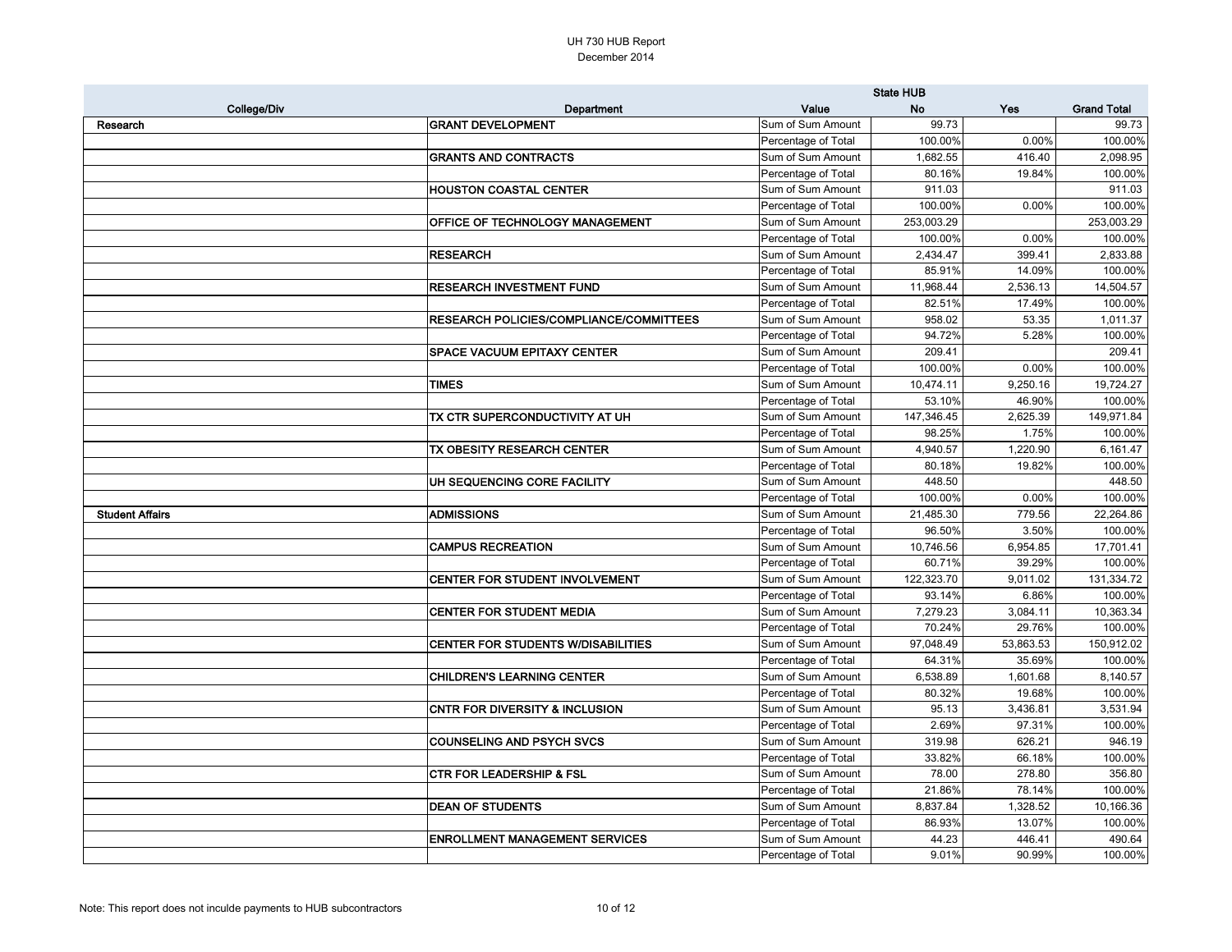|                        |                                                | <b>State HUB</b>    |            |           |                    |
|------------------------|------------------------------------------------|---------------------|------------|-----------|--------------------|
| <b>College/Div</b>     | Department                                     | Value               | <b>No</b>  | Yes       | <b>Grand Total</b> |
| Research               | <b>GRANT DEVELOPMENT</b>                       | Sum of Sum Amount   | 99.73      |           | 99.73              |
|                        |                                                | Percentage of Total | 100.00%    | 0.00%     | 100.00%            |
|                        | <b>GRANTS AND CONTRACTS</b>                    | Sum of Sum Amount   | 1,682.55   | 416.40    | 2,098.95           |
|                        |                                                | Percentage of Total | 80.16%     | 19.84%    | 100.00%            |
|                        | <b>HOUSTON COASTAL CENTER</b>                  | Sum of Sum Amount   | 911.03     |           | 911.03             |
|                        |                                                | Percentage of Total | 100.00%    | 0.00%     | 100.00%            |
|                        | <b>OFFICE OF TECHNOLOGY MANAGEMENT</b>         | Sum of Sum Amount   | 253,003.29 |           | 253,003.29         |
|                        |                                                | Percentage of Total | 100.00%    | 0.00%     | 100.00%            |
|                        | <b>RESEARCH</b>                                | Sum of Sum Amount   | 2,434.47   | 399.41    | 2,833.88           |
|                        |                                                | Percentage of Total | 85.91%     | 14.09%    | 100.00%            |
|                        | <b>RESEARCH INVESTMENT FUND</b>                | Sum of Sum Amount   | 11,968.44  | 2,536.13  | 14,504.57          |
|                        |                                                | Percentage of Total | 82.51%     | 17.49%    | 100.00%            |
|                        | <b>RESEARCH POLICIES/COMPLIANCE/COMMITTEES</b> | Sum of Sum Amount   | 958.02     | 53.35     | 1,011.37           |
|                        |                                                | Percentage of Total | 94.72%     | 5.28%     | 100.00%            |
|                        | <b>SPACE VACUUM EPITAXY CENTER</b>             | Sum of Sum Amount   | 209.41     |           | 209.41             |
|                        |                                                | Percentage of Total | 100.00%    | 0.00%     | 100.00%            |
|                        | <b>TIMES</b>                                   | Sum of Sum Amount   | 10,474.11  | 9,250.16  | 19,724.27          |
|                        |                                                | Percentage of Total | 53.10%     | 46.90%    | 100.00%            |
|                        | TX CTR SUPERCONDUCTIVITY AT UH                 | Sum of Sum Amount   | 147,346.45 | 2,625.39  | 149,971.84         |
|                        |                                                | Percentage of Total | 98.25%     | 1.75%     | 100.00%            |
|                        | <b>TX OBESITY RESEARCH CENTER</b>              | Sum of Sum Amount   | 4,940.57   | 1,220.90  | 6,161.47           |
|                        |                                                | Percentage of Total | 80.18%     | 19.82%    | 100.00%            |
|                        | UH SEQUENCING CORE FACILITY                    | Sum of Sum Amount   | 448.50     |           | 448.50             |
|                        |                                                | Percentage of Total | 100.00%    | 0.00%     | 100.00%            |
| <b>Student Affairs</b> | <b>ADMISSIONS</b>                              | Sum of Sum Amount   | 21,485.30  | 779.56    | 22,264.86          |
|                        |                                                | Percentage of Total | 96.50%     | 3.50%     | 100.00%            |
|                        | <b>CAMPUS RECREATION</b>                       | Sum of Sum Amount   | 10,746.56  | 6,954.85  | 17,701.41          |
|                        |                                                | Percentage of Total | 60.71%     | 39.29%    | 100.00%            |
|                        | <b>CENTER FOR STUDENT INVOLVEMENT</b>          | Sum of Sum Amount   | 122,323.70 | 9,011.02  | 131,334.72         |
|                        |                                                | Percentage of Total | 93.14%     | 6.86%     | 100.00%            |
|                        | <b>CENTER FOR STUDENT MEDIA</b>                | Sum of Sum Amount   | 7,279.23   | 3,084.11  | 10,363.34          |
|                        |                                                | Percentage of Total | 70.24%     | 29.76%    | 100.00%            |
|                        | <b>CENTER FOR STUDENTS W/DISABILITIES</b>      | Sum of Sum Amount   | 97,048.49  | 53,863.53 | 150,912.02         |
|                        |                                                | Percentage of Total | 64.31%     | 35.69%    | 100.00%            |
|                        | <b>CHILDREN'S LEARNING CENTER</b>              | Sum of Sum Amount   | 6,538.89   | 1,601.68  | 8,140.57           |
|                        |                                                | Percentage of Total | 80.32%     | 19.68%    | 100.00%            |
|                        | <b>CNTR FOR DIVERSITY &amp; INCLUSION</b>      | Sum of Sum Amount   | 95.13      | 3,436.81  | 3,531.94           |
|                        |                                                | Percentage of Total | 2.69%      | 97.31%    | 100.00%            |
|                        | <b>COUNSELING AND PSYCH SVCS</b>               | Sum of Sum Amount   | 319.98     | 626.21    | 946.19             |
|                        |                                                | Percentage of Total | 33.82%     | 66.18%    | 100.00%            |
|                        | <b>CTR FOR LEADERSHIP &amp; FSL</b>            | Sum of Sum Amount   | 78.00      | 278.80    | 356.80             |
|                        |                                                | Percentage of Total | 21.86%     | 78.14%    | 100.00%            |
|                        | <b>DEAN OF STUDENTS</b>                        | Sum of Sum Amount   | 8,837.84   | 1,328.52  | 10,166.36          |
|                        |                                                | Percentage of Total | 86.93%     | 13.07%    | 100.00%            |
|                        | <b>ENROLLMENT MANAGEMENT SERVICES</b>          | Sum of Sum Amount   | 44.23      | 446.41    | 490.64             |
|                        |                                                | Percentage of Total | 9.01%      | 90.99%    | 100.00%            |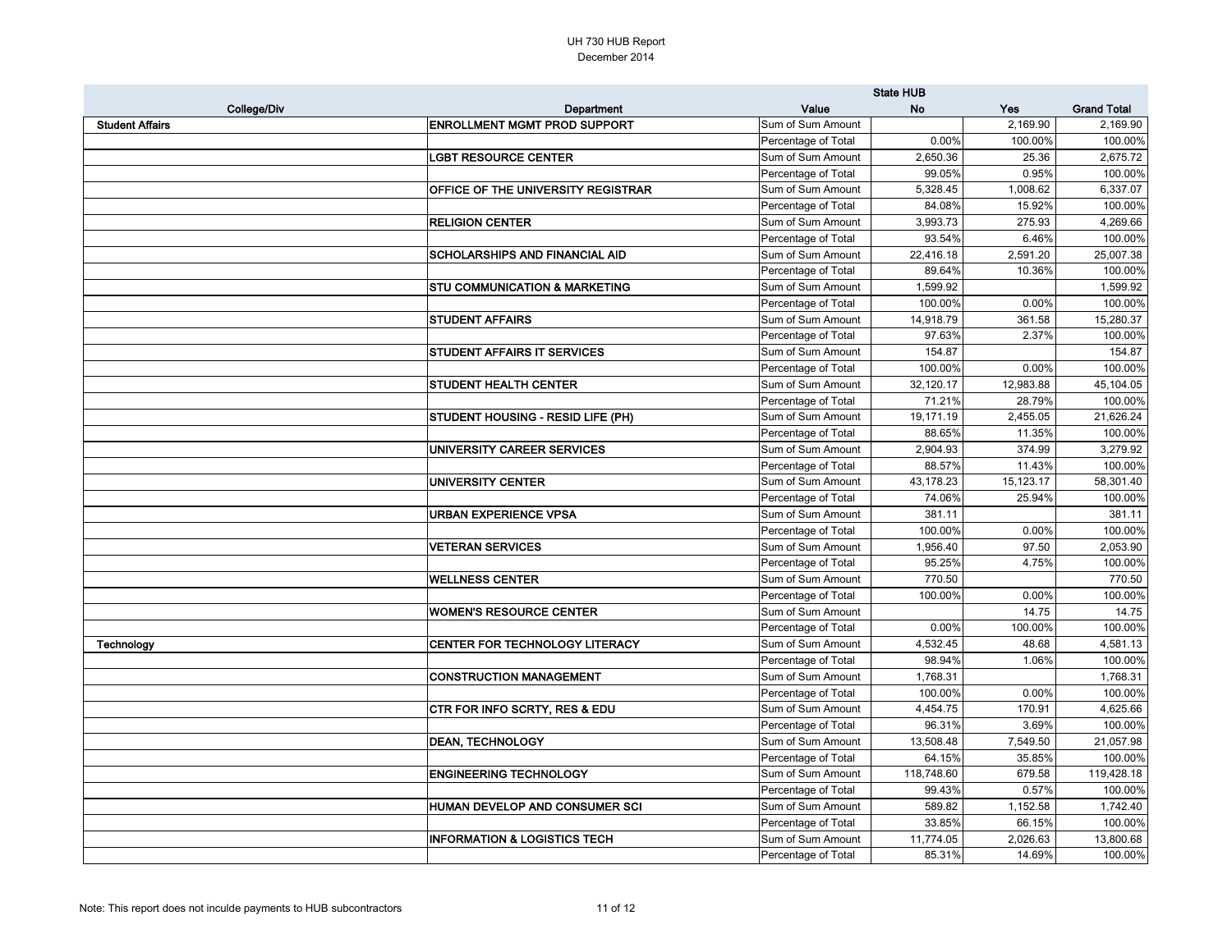|                        |                                           | <b>State HUB</b>    |            |           |                    |
|------------------------|-------------------------------------------|---------------------|------------|-----------|--------------------|
| College/Div            | Department                                | Value               | <b>No</b>  | Yes       | <b>Grand Total</b> |
| <b>Student Affairs</b> | <b>ENROLLMENT MGMT PROD SUPPORT</b>       | Sum of Sum Amount   |            | 2,169.90  | 2,169.90           |
|                        |                                           | Percentage of Total | 0.00%      | 100.00%   | 100.00%            |
|                        | <b>LGBT RESOURCE CENTER</b>               | Sum of Sum Amount   | 2,650.36   | 25.36     | 2,675.72           |
|                        |                                           | Percentage of Total | 99.05%     | 0.95%     | 100.00%            |
|                        | <b>OFFICE OF THE UNIVERSITY REGISTRAR</b> | Sum of Sum Amount   | 5,328.45   | 1,008.62  | 6,337.07           |
|                        |                                           | Percentage of Total | 84.08%     | 15.92%    | 100.00%            |
|                        | <b>RELIGION CENTER</b>                    | Sum of Sum Amount   | 3,993.73   | 275.93    | 4,269.66           |
|                        |                                           | Percentage of Total | 93.54%     | 6.46%     | 100.00%            |
|                        | <b>SCHOLARSHIPS AND FINANCIAL AID</b>     | Sum of Sum Amount   | 22,416.18  | 2,591.20  | 25,007.38          |
|                        |                                           | Percentage of Total | 89.64%     | 10.36%    | 100.00%            |
|                        | <b>STU COMMUNICATION &amp; MARKETING</b>  | Sum of Sum Amount   | 1,599.92   |           | 1,599.92           |
|                        |                                           | Percentage of Total | 100.00%    | 0.00%     | 100.00%            |
|                        | <b>STUDENT AFFAIRS</b>                    | Sum of Sum Amount   | 14,918.79  | 361.58    | 15,280.37          |
|                        |                                           | Percentage of Total | 97.63%     | 2.37%     | 100.00%            |
|                        | <b>STUDENT AFFAIRS IT SERVICES</b>        | Sum of Sum Amount   | 154.87     |           | 154.87             |
|                        |                                           | Percentage of Total | 100.00%    | 0.00%     | 100.00%            |
|                        | <b>STUDENT HEALTH CENTER</b>              | Sum of Sum Amount   | 32,120.17  | 12,983.88 | 45,104.05          |
|                        |                                           | Percentage of Total | 71.21%     | 28.79%    | 100.00%            |
|                        | STUDENT HOUSING - RESID LIFE (PH)         | Sum of Sum Amount   | 19,171.19  | 2,455.05  | 21,626.24          |
|                        |                                           | Percentage of Total | 88.65%     | 11.35%    | 100.00%            |
|                        | UNIVERSITY CAREER SERVICES                | Sum of Sum Amount   | 2,904.93   | 374.99    | 3,279.92           |
|                        |                                           | Percentage of Total | 88.57%     | 11.43%    | 100.00%            |
|                        | UNIVERSITY CENTER                         | Sum of Sum Amount   | 43,178.23  | 15,123.17 | 58,301.40          |
|                        |                                           | Percentage of Total | 74.06%     | 25.94%    | 100.00%            |
|                        | <b>URBAN EXPERIENCE VPSA</b>              | Sum of Sum Amount   | 381.11     |           | 381.11             |
|                        |                                           | Percentage of Total | 100.00%    | 0.00%     | 100.00%            |
|                        | <b>VETERAN SERVICES</b>                   | Sum of Sum Amount   | 1,956.40   | 97.50     | 2,053.90           |
|                        |                                           | Percentage of Total | 95.25%     | 4.75%     | 100.00%            |
|                        | <b>WELLNESS CENTER</b>                    | Sum of Sum Amount   | 770.50     |           | 770.50             |
|                        |                                           | Percentage of Total | 100.00%    | 0.00%     | 100.00%            |
|                        | <b>WOMEN'S RESOURCE CENTER</b>            | Sum of Sum Amount   |            | 14.75     | 14.75              |
|                        |                                           | Percentage of Total | 0.00%      | 100.00%   | 100.00%            |
| Technology             | CENTER FOR TECHNOLOGY LITERACY            | Sum of Sum Amount   | 4,532.45   | 48.68     | 4,581.13           |
|                        |                                           | Percentage of Total | 98.94%     | 1.06%     | 100.00%            |
|                        | <b>CONSTRUCTION MANAGEMENT</b>            | Sum of Sum Amount   | 1,768.31   |           | 1,768.31           |
|                        |                                           | Percentage of Total | 100.00%    | 0.00%     | 100.00%            |
|                        | <b>CTR FOR INFO SCRTY, RES &amp; EDU</b>  | Sum of Sum Amount   | 4,454.75   | 170.91    | 4,625.66           |
|                        |                                           | Percentage of Total | 96.31%     | 3.69%     | 100.00%            |
|                        | <b>DEAN, TECHNOLOGY</b>                   | Sum of Sum Amount   | 13,508.48  | 7,549.50  | 21,057.98          |
|                        |                                           | Percentage of Total | 64.15%     | 35.85%    | 100.00%            |
|                        | <b>ENGINEERING TECHNOLOGY</b>             | Sum of Sum Amount   | 118,748.60 | 679.58    | 119,428.18         |
|                        |                                           | Percentage of Total | 99.43%     | 0.57%     | 100.00%            |
|                        | HUMAN DEVELOP AND CONSUMER SCI            | Sum of Sum Amount   | 589.82     | 1,152.58  | 1,742.40           |
|                        |                                           | Percentage of Total | 33.85%     | 66.15%    | 100.00%            |
|                        | <b>INFORMATION &amp; LOGISTICS TECH</b>   | Sum of Sum Amount   | 11,774.05  | 2,026.63  | 13,800.68          |
|                        |                                           | Percentage of Total | 85.31%     | 14.69%    | 100.00%            |
|                        |                                           |                     |            |           |                    |